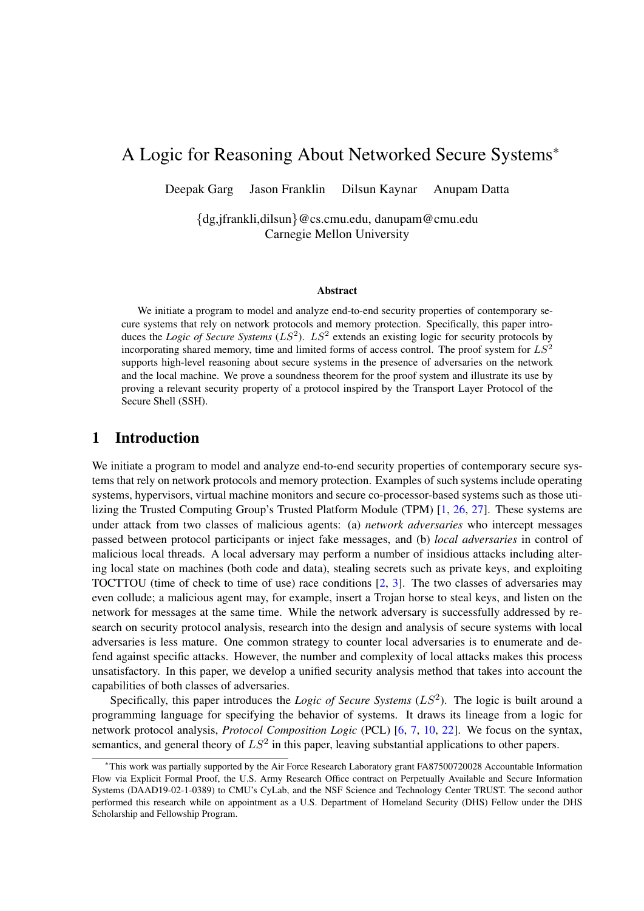# A Logic for Reasoning About Networked Secure Systems<sup>∗</sup>

Deepak Garg Jason Franklin Dilsun Kaynar Anupam Datta

{dg,jfrankli,dilsun}@cs.cmu.edu, danupam@cmu.edu Carnegie Mellon University

#### Abstract

We initiate a program to model and analyze end-to-end security properties of contemporary secure systems that rely on network protocols and memory protection. Specifically, this paper introduces the *Logic of Secure Systems*  $(LS^2)$ .  $LS^2$  extends an existing logic for security protocols by incorporating shared memory, time and limited forms of access control. The proof system for  $LS^2$ supports high-level reasoning about secure systems in the presence of adversaries on the network and the local machine. We prove a soundness theorem for the proof system and illustrate its use by proving a relevant security property of a protocol inspired by the Transport Layer Protocol of the Secure Shell (SSH).

# 1 Introduction

We initiate a program to model and analyze end-to-end security properties of contemporary secure systems that rely on network protocols and memory protection. Examples of such systems include operating systems, hypervisors, virtual machine monitors and secure co-processor-based systems such as those utilizing the Trusted Computing Group's Trusted Platform Module (TPM) [\[1,](#page-13-0) [26,](#page-15-0) [27\]](#page-15-1). These systems are under attack from two classes of malicious agents: (a) *network adversaries* who intercept messages passed between protocol participants or inject fake messages, and (b) *local adversaries* in control of malicious local threads. A local adversary may perform a number of insidious attacks including altering local state on machines (both code and data), stealing secrets such as private keys, and exploiting TOCTTOU (time of check to time of use) race conditions [\[2,](#page-13-1) [3\]](#page-13-2). The two classes of adversaries may even collude; a malicious agent may, for example, insert a Trojan horse to steal keys, and listen on the network for messages at the same time. While the network adversary is successfully addressed by research on security protocol analysis, research into the design and analysis of secure systems with local adversaries is less mature. One common strategy to counter local adversaries is to enumerate and defend against specific attacks. However, the number and complexity of local attacks makes this process unsatisfactory. In this paper, we develop a unified security analysis method that takes into account the capabilities of both classes of adversaries.

Specifically, this paper introduces the *Logic of Secure Systems*  $(LS<sup>2</sup>)$ . The logic is built around a programming language for specifying the behavior of systems. It draws its lineage from a logic for network protocol analysis, *Protocol Composition Logic* (PCL) [\[6,](#page-13-3) [7,](#page-14-0) [10,](#page-14-1) [22\]](#page-14-2). We focus on the syntax, semantics, and general theory of  $LS^2$  in this paper, leaving substantial applications to other papers.

<sup>∗</sup>This work was partially supported by the Air Force Research Laboratory grant FA87500720028 Accountable Information Flow via Explicit Formal Proof, the U.S. Army Research Office contract on Perpetually Available and Secure Information Systems (DAAD19-02-1-0389) to CMU's CyLab, and the NSF Science and Technology Center TRUST. The second author performed this research while on appointment as a U.S. Department of Homeland Security (DHS) Fellow under the DHS Scholarship and Fellowship Program.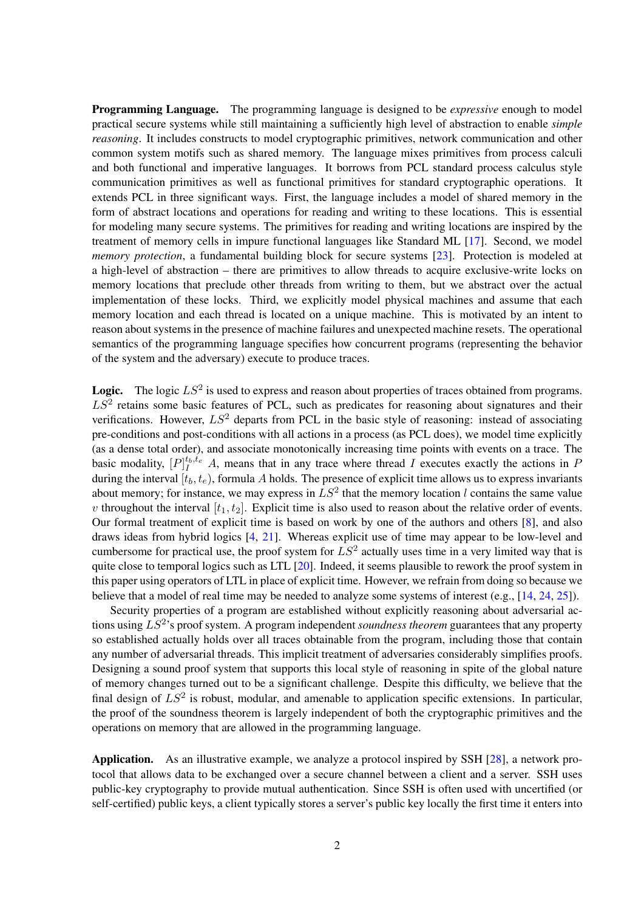Programming Language. The programming language is designed to be *expressive* enough to model practical secure systems while still maintaining a sufficiently high level of abstraction to enable *simple reasoning*. It includes constructs to model cryptographic primitives, network communication and other common system motifs such as shared memory. The language mixes primitives from process calculi and both functional and imperative languages. It borrows from PCL standard process calculus style communication primitives as well as functional primitives for standard cryptographic operations. It extends PCL in three significant ways. First, the language includes a model of shared memory in the form of abstract locations and operations for reading and writing to these locations. This is essential for modeling many secure systems. The primitives for reading and writing locations are inspired by the treatment of memory cells in impure functional languages like Standard ML [\[17\]](#page-14-3). Second, we model *memory protection*, a fundamental building block for secure systems [\[23\]](#page-14-4). Protection is modeled at a high-level of abstraction – there are primitives to allow threads to acquire exclusive-write locks on memory locations that preclude other threads from writing to them, but we abstract over the actual implementation of these locks. Third, we explicitly model physical machines and assume that each memory location and each thread is located on a unique machine. This is motivated by an intent to reason about systems in the presence of machine failures and unexpected machine resets. The operational semantics of the programming language specifies how concurrent programs (representing the behavior of the system and the adversary) execute to produce traces.

**Logic.** The logic  $LS^2$  is used to express and reason about properties of traces obtained from programs.  $LS<sup>2</sup>$  retains some basic features of PCL, such as predicates for reasoning about signatures and their verifications. However,  $LS^2$  departs from PCL in the basic style of reasoning: instead of associating pre-conditions and post-conditions with all actions in a process (as PCL does), we model time explicitly (as a dense total order), and associate monotonically increasing time points with events on a trace. The basic modality,  $[P]_I^{t_b,t_e}$  A, means that in any trace where thread I executes exactly the actions in F during the interval  $[t_b, t_e)$ , formula A holds. The presence of explicit time allows us to express invariants about memory; for instance, we may express in  $LS^2$  that the memory location l contains the same value v throughout the interval  $[t_1, t_2]$ . Explicit time is also used to reason about the relative order of events. Our formal treatment of explicit time is based on work by one of the authors and others [\[8\]](#page-14-5), and also draws ideas from hybrid logics [\[4,](#page-13-4) [21\]](#page-14-6). Whereas explicit use of time may appear to be low-level and cumbersome for practical use, the proof system for  $LS^2$  actually uses time in a very limited way that is quite close to temporal logics such as LTL [\[20\]](#page-14-7). Indeed, it seems plausible to rework the proof system in this paper using operators of LTL in place of explicit time. However, we refrain from doing so because we believe that a model of real time may be needed to analyze some systems of interest (e.g., [\[14,](#page-14-8) [24,](#page-14-9) [25\]](#page-15-2)).

Security properties of a program are established without explicitly reasoning about adversarial actions using LS<sup>2</sup> 's proof system. A program independent *soundness theorem* guarantees that any property so established actually holds over all traces obtainable from the program, including those that contain any number of adversarial threads. This implicit treatment of adversaries considerably simplifies proofs. Designing a sound proof system that supports this local style of reasoning in spite of the global nature of memory changes turned out to be a significant challenge. Despite this difficulty, we believe that the final design of  $LS^2$  is robust, modular, and amenable to application specific extensions. In particular, the proof of the soundness theorem is largely independent of both the cryptographic primitives and the operations on memory that are allowed in the programming language.

Application. As an illustrative example, we analyze a protocol inspired by SSH [\[28\]](#page-15-3), a network protocol that allows data to be exchanged over a secure channel between a client and a server. SSH uses public-key cryptography to provide mutual authentication. Since SSH is often used with uncertified (or self-certified) public keys, a client typically stores a server's public key locally the first time it enters into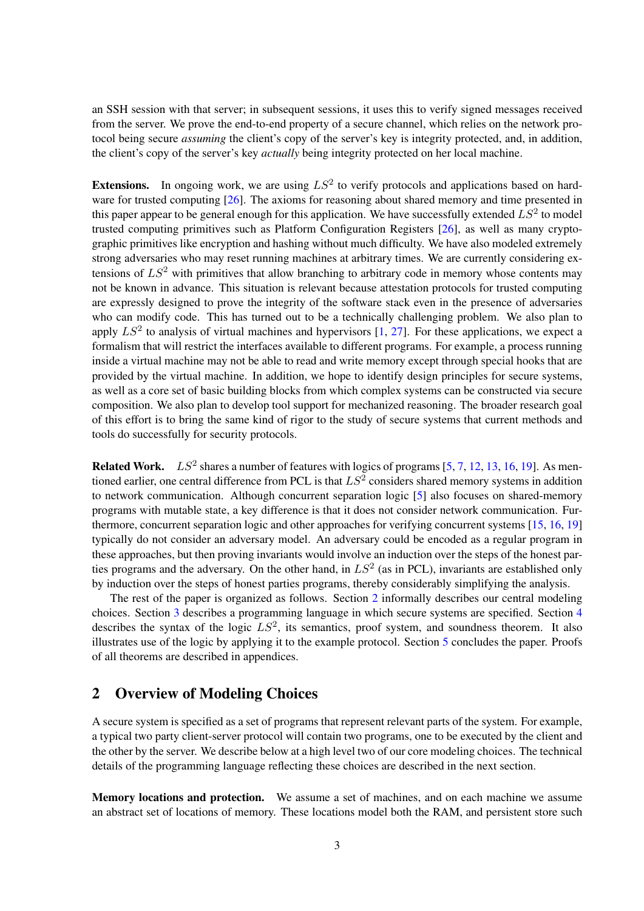an SSH session with that server; in subsequent sessions, it uses this to verify signed messages received from the server. We prove the end-to-end property of a secure channel, which relies on the network protocol being secure *assuming* the client's copy of the server's key is integrity protected, and, in addition, the client's copy of the server's key *actually* being integrity protected on her local machine.

**Extensions.** In ongoing work, we are using  $LS^2$  to verify protocols and applications based on hardware for trusted computing [\[26\]](#page-15-0). The axioms for reasoning about shared memory and time presented in this paper appear to be general enough for this application. We have successfully extended  $LS^2$  to model trusted computing primitives such as Platform Configuration Registers [\[26\]](#page-15-0), as well as many cryptographic primitives like encryption and hashing without much difficulty. We have also modeled extremely strong adversaries who may reset running machines at arbitrary times. We are currently considering extensions of  $LS^2$  with primitives that allow branching to arbitrary code in memory whose contents may not be known in advance. This situation is relevant because attestation protocols for trusted computing are expressly designed to prove the integrity of the software stack even in the presence of adversaries who can modify code. This has turned out to be a technically challenging problem. We also plan to apply  $LS^2$  to analysis of virtual machines and hypervisors  $[1, 27]$  $[1, 27]$  $[1, 27]$ . For these applications, we expect a formalism that will restrict the interfaces available to different programs. For example, a process running inside a virtual machine may not be able to read and write memory except through special hooks that are provided by the virtual machine. In addition, we hope to identify design principles for secure systems, as well as a core set of basic building blocks from which complex systems can be constructed via secure composition. We also plan to develop tool support for mechanized reasoning. The broader research goal of this effort is to bring the same kind of rigor to the study of secure systems that current methods and tools do successfully for security protocols.

**Related Work.**  $LS^2$  shares a number of features with logics of programs [\[5,](#page-13-5) [7,](#page-14-0) [12,](#page-14-10) [13,](#page-14-11) [16,](#page-14-12) [19\]](#page-14-13). As mentioned earlier, one central difference from PCL is that  $LS^2$  considers shared memory systems in addition to network communication. Although concurrent separation logic [\[5\]](#page-13-5) also focuses on shared-memory programs with mutable state, a key difference is that it does not consider network communication. Furthermore, concurrent separation logic and other approaches for verifying concurrent systems [\[15,](#page-14-14) [16,](#page-14-12) [19\]](#page-14-13) typically do not consider an adversary model. An adversary could be encoded as a regular program in these approaches, but then proving invariants would involve an induction over the steps of the honest parties programs and the adversary. On the other hand, in  $LS^2$  (as in PCL), invariants are established only by induction over the steps of honest parties programs, thereby considerably simplifying the analysis.

The rest of the paper is organized as follows. Section [2](#page-2-0) informally describes our central modeling choices. Section [3](#page-3-0) describes a programming language in which secure systems are specified. Section [4](#page-6-0) describes the syntax of the logic  $LS^2$ , its semantics, proof system, and soundness theorem. It also illustrates use of the logic by applying it to the example protocol. Section [5](#page-13-6) concludes the paper. Proofs of all theorems are described in appendices.

# <span id="page-2-0"></span>2 Overview of Modeling Choices

A secure system is specified as a set of programs that represent relevant parts of the system. For example, a typical two party client-server protocol will contain two programs, one to be executed by the client and the other by the server. We describe below at a high level two of our core modeling choices. The technical details of the programming language reflecting these choices are described in the next section.

Memory locations and protection. We assume a set of machines, and on each machine we assume an abstract set of locations of memory. These locations model both the RAM, and persistent store such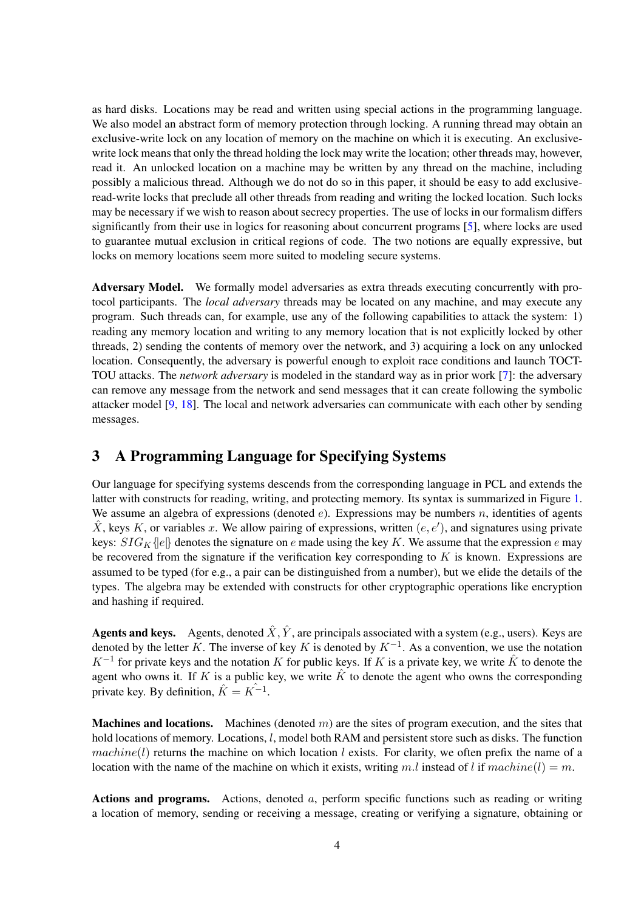as hard disks. Locations may be read and written using special actions in the programming language. We also model an abstract form of memory protection through locking. A running thread may obtain an exclusive-write lock on any location of memory on the machine on which it is executing. An exclusivewrite lock means that only the thread holding the lock may write the location; other threads may, however, read it. An unlocked location on a machine may be written by any thread on the machine, including possibly a malicious thread. Although we do not do so in this paper, it should be easy to add exclusiveread-write locks that preclude all other threads from reading and writing the locked location. Such locks may be necessary if we wish to reason about secrecy properties. The use of locks in our formalism differs significantly from their use in logics for reasoning about concurrent programs [\[5\]](#page-13-5), where locks are used to guarantee mutual exclusion in critical regions of code. The two notions are equally expressive, but locks on memory locations seem more suited to modeling secure systems.

Adversary Model. We formally model adversaries as extra threads executing concurrently with protocol participants. The *local adversary* threads may be located on any machine, and may execute any program. Such threads can, for example, use any of the following capabilities to attack the system: 1) reading any memory location and writing to any memory location that is not explicitly locked by other threads, 2) sending the contents of memory over the network, and 3) acquiring a lock on any unlocked location. Consequently, the adversary is powerful enough to exploit race conditions and launch TOCT-TOU attacks. The *network adversary* is modeled in the standard way as in prior work [\[7\]](#page-14-0): the adversary can remove any message from the network and send messages that it can create following the symbolic attacker model [\[9,](#page-14-15) [18\]](#page-14-16). The local and network adversaries can communicate with each other by sending messages.

# <span id="page-3-0"></span>3 A Programming Language for Specifying Systems

Our language for specifying systems descends from the corresponding language in PCL and extends the latter with constructs for reading, writing, and protecting memory. Its syntax is summarized in Figure [1.](#page-4-0) We assume an algebra of expressions (denoted  $e$ ). Expressions may be numbers n, identities of agents  $\hat{X}$ , keys K, or variables x. We allow pairing of expressions, written  $(e, e')$ , and signatures using private keys:  $SIG_K$ {|e|} denotes the signature on e made using the key K. We assume that the expression e may be recovered from the signature if the verification key corresponding to  $K$  is known. Expressions are assumed to be typed (for e.g., a pair can be distinguished from a number), but we elide the details of the types. The algebra may be extended with constructs for other cryptographic operations like encryption and hashing if required.

**Agents and keys.** Agents, denoted  $\hat{X}, \hat{Y}$ , are principals associated with a system (e.g., users). Keys are denoted by the letter K. The inverse of key K is denoted by  $K^{-1}$ . As a convention, we use the notation  $K^{-1}$  for private keys and the notation K for public keys. If K is a private key, we write  $\hat{K}$  to denote the agent who owns it. If K is a public key, we write  $\hat{K}$  to denote the agent who owns the corresponding private key. By definition,  $\hat{K} = K^{-1}$ .

**Machines and locations.** Machines (denoted  $m$ ) are the sites of program execution, and the sites that hold locations of memory. Locations, l, model both RAM and persistent store such as disks. The function machine(l) returns the machine on which location l exists. For clarity, we often prefix the name of a location with the name of the machine on which it exists, writing m.l instead of l if machine(l) = m.

Actions and programs. Actions, denoted  $a$ , perform specific functions such as reading or writing a location of memory, sending or receiving a message, creating or verifying a signature, obtaining or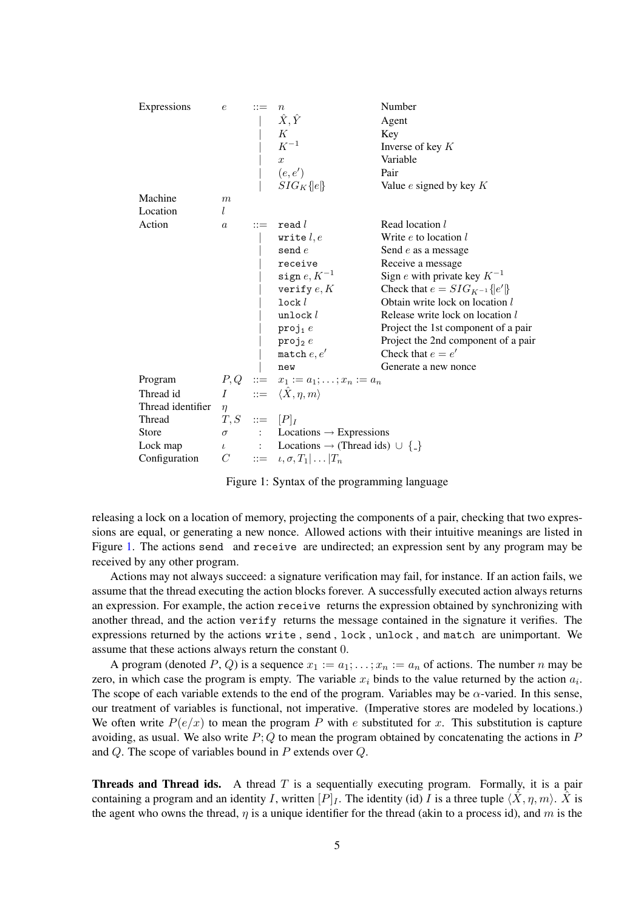| Expressions       | $\epsilon$       | $\boldsymbol{n}$                                                                                                                   | Number                               |
|-------------------|------------------|------------------------------------------------------------------------------------------------------------------------------------|--------------------------------------|
|                   |                  | $\hat{X}, \hat{Y}$                                                                                                                 | Agent                                |
|                   |                  | K                                                                                                                                  | Key                                  |
|                   |                  | $K^{\rm -1}$                                                                                                                       | Inverse of key $K$                   |
|                   |                  | $\boldsymbol{x}$                                                                                                                   | Variable                             |
|                   |                  | $(e,e^{\prime})$                                                                                                                   | Pair                                 |
|                   |                  | $SIG_K\{e\}$                                                                                                                       | Value $e$ signed by key $K$          |
| Machine           | m                |                                                                                                                                    |                                      |
| Location          | l                |                                                                                                                                    |                                      |
| Action            | $\boldsymbol{a}$ | real l                                                                                                                             | Read location l                      |
|                   |                  | write $l, e$                                                                                                                       | Write $e$ to location $l$            |
|                   |                  | send $e$                                                                                                                           | Send e as a message                  |
|                   |                  | receive                                                                                                                            | Receive a message                    |
|                   |                  | sign $e, K^{-1}$                                                                                                                   | Sign e with private key $K^{-1}$     |
|                   |                  | verify $e, K$                                                                                                                      | Check that $e = SIG_{K^{-1}}\{e'\}\$ |
|                   |                  | lock <i>l</i>                                                                                                                      | Obtain write lock on location l      |
|                   |                  | unlock $l$                                                                                                                         | Release write lock on location l     |
|                   |                  | $proj_1 e$                                                                                                                         | Project the 1st component of a pair  |
|                   |                  | $proj_2 e$                                                                                                                         | Project the 2nd component of a pair  |
|                   |                  | $% \mathcal{M}(\mathcal{A})\otimes \mathcal{A}(\mathcal{A})=\mathcal{A}(\mathcal{A})\otimes \mathcal{A}(\mathcal{A})$ match $e,e'$ | Check that $e = e'$                  |
|                   |                  | new                                                                                                                                | Generate a new nonce                 |
| Program           |                  | $P, Q$ ::= $x_1 := a_1; \ldots; x_n := a_n$                                                                                        |                                      |
| Thread id         |                  | $I \quad := \langle \hat{X}, \eta, m \rangle$                                                                                      |                                      |
| Thread identifier | $\eta$           |                                                                                                                                    |                                      |
| Thread            | $T, S$ ::= $[P]$ |                                                                                                                                    |                                      |
| <b>Store</b>      |                  | $\sigma$ : Locations $\rightarrow$ Expressions                                                                                     |                                      |
| Lock map          |                  | $\iota$ : Locations $\rightarrow$ (Thread ids) $\cup$ {-}                                                                          |                                      |
| Configuration     | C                | $ ::= \iota, \sigma, T_1   \dots   T_n$                                                                                            |                                      |

<span id="page-4-0"></span>Figure 1: Syntax of the programming language

releasing a lock on a location of memory, projecting the components of a pair, checking that two expressions are equal, or generating a new nonce. Allowed actions with their intuitive meanings are listed in Figure [1.](#page-4-0) The actions send and receive are undirected; an expression sent by any program may be received by any other program.

Actions may not always succeed: a signature verification may fail, for instance. If an action fails, we assume that the thread executing the action blocks forever. A successfully executed action always returns an expression. For example, the action receive returns the expression obtained by synchronizing with another thread, and the action verify returns the message contained in the signature it verifies. The expressions returned by the actions write , send , lock , unlock , and match are unimportant. We assume that these actions always return the constant 0.

A program (denoted P, Q) is a sequence  $x_1 := a_1; \dots; x_n := a_n$  of actions. The number n may be zero, in which case the program is empty. The variable  $x_i$  binds to the value returned by the action  $a_i$ . The scope of each variable extends to the end of the program. Variables may be  $\alpha$ -varied. In this sense, our treatment of variables is functional, not imperative. (Imperative stores are modeled by locations.) We often write  $P(e/x)$  to mean the program P with e substituted for x. This substitution is capture avoiding, as usual. We also write  $P$ ; Q to mean the program obtained by concatenating the actions in P and Q. The scope of variables bound in P extends over Q.

**Threads and Thread ids.** A thread  $T$  is a sequentially executing program. Formally, it is a pair containing a program and an identity I, written  $[P]_I$ . The identity (id) I is a three tuple  $\langle \hat{X}, \eta, m \rangle$ .  $\hat{X}$  is the agent who owns the thread,  $\eta$  is a unique identifier for the thread (akin to a process id), and m is the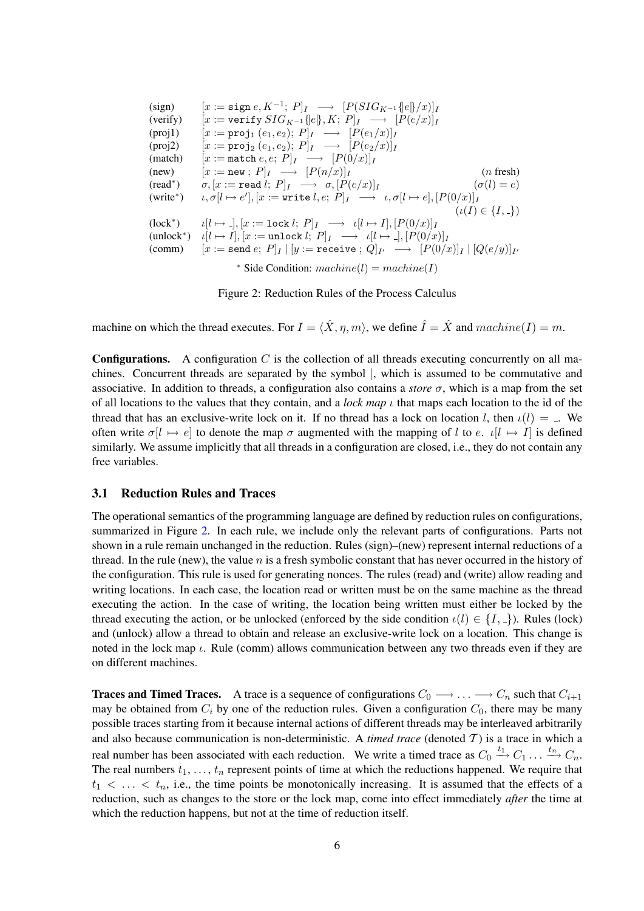\n- (sign) 
$$
[x := \text{sign } e, K^{-1}; P]_I \longrightarrow [P(SIG_{K^{-1}}\{e\}, x)]_I
$$
\n- (verify)  $[x := \text{verify } SIG_{K^{-1}}\{e\}, K; P]_I \longrightarrow [P(e/x)]_I$
\n- (proj1)  $[x := \text{proj}_1(e_1, e_2); P]_I \longrightarrow [P(e_1/x)]_I$
\n- (proj2)  $[x := \text{proj}_2(e_1, e_2); P]_I \longrightarrow [P(e_2/x)]_I$
\n- (match)  $[x := \text{match } e, e; P]_I \longrightarrow [P(0/x)]_I$
\n- (new)  $[x := \text{new }; P]_I \longrightarrow [P(n/x)]_I$
\n- (read\*)  $\sigma, [x := \text{read } l; P]_I \longrightarrow \sigma, [P(e/x)]_I$
\n- (write\*)  $\iota, \sigma[l \mapsto e'], [x := \text{write } l, e; P]_I \longrightarrow \iota, \sigma[l \mapsto e], [P(0/x)]_I$
\n- (lock\*)  $\iota[l \mapsto \cdot], [x := \text{lock } l; P]_I \longrightarrow \iota[l \mapsto \cdot], [P(0/x)]_I$
\n- (under\*)  $\iota[l \mapsto \cdot], [x := \text{lock } l; P]_I \longrightarrow \iota[l \mapsto \cdot], [P(0/x)]_I$
\n- (under\*)  $\iota[l \mapsto \cdot], [x := \text{unlock } l; P]_I \longrightarrow \iota[l \mapsto \cdot], [P(0/x)]_I$
\n- (comm)  $[x := \text{send } e; P]_I \mid [y := \text{receive }; Q]_{I'} \longrightarrow [P(0/x)]_I \mid [Q(e/y)]_{I'}$
\n- \* Side Condition:  $machine(l) = machine(l)$
\n

<span id="page-5-0"></span>Figure 2: Reduction Rules of the Process Calculus

machine on which the thread executes. For  $I = \langle \hat{X}, \eta, m \rangle$ , we define  $\hat{I} = \hat{X}$  and  $machine(I) = m$ .

**Configurations.** A configuration C is the collection of all threads executing concurrently on all machines. Concurrent threads are separated by the symbol |, which is assumed to be commutative and associative. In addition to threads, a configuration also contains a *store*  $\sigma$ , which is a map from the set of all locations to the values that they contain, and a *lock map* ι that maps each location to the id of the thread that has an exclusive-write lock on it. If no thread has a lock on location l, then  $\iota(l) = \bot$ . We often write  $\sigma[l \mapsto e]$  to denote the map  $\sigma$  augmented with the mapping of l to e.  $\iota[l \mapsto I]$  is defined similarly. We assume implicitly that all threads in a configuration are closed, i.e., they do not contain any free variables.

### 3.1 Reduction Rules and Traces

The operational semantics of the programming language are defined by reduction rules on configurations, summarized in Figure [2.](#page-5-0) In each rule, we include only the relevant parts of configurations. Parts not shown in a rule remain unchanged in the reduction. Rules (sign)–(new) represent internal reductions of a thread. In the rule (new), the value  $n$  is a fresh symbolic constant that has never occurred in the history of the configuration. This rule is used for generating nonces. The rules (read) and (write) allow reading and writing locations. In each case, the location read or written must be on the same machine as the thread executing the action. In the case of writing, the location being written must either be locked by the thread executing the action, or be unlocked (enforced by the side condition  $\iota(l) \in \{I, \ldots\}$ ). Rules (lock) and (unlock) allow a thread to obtain and release an exclusive-write lock on a location. This change is noted in the lock map  $\iota$ . Rule (comm) allows communication between any two threads even if they are on different machines.

**Traces and Timed Traces.** A trace is a sequence of configurations  $C_0 \longrightarrow \ldots \longrightarrow C_n$  such that  $C_{i+1}$ may be obtained from  $C_i$  by one of the reduction rules. Given a configuration  $C_0$ , there may be many possible traces starting from it because internal actions of different threads may be interleaved arbitrarily and also because communication is non-deterministic. A *timed trace* (denoted  $T$ ) is a trace in which a real number has been associated with each reduction. We write a timed trace as  $C_0 \stackrel{t_1}{\longrightarrow} C_1 \ldots \stackrel{t_n}{\longrightarrow} C_n$ . The real numbers  $t_1, \ldots, t_n$  represent points of time at which the reductions happened. We require that  $t_1 < \ldots < t_n$ , i.e., the time points be monotonically increasing. It is assumed that the effects of a reduction, such as changes to the store or the lock map, come into effect immediately *after* the time at which the reduction happens, but not at the time of reduction itself.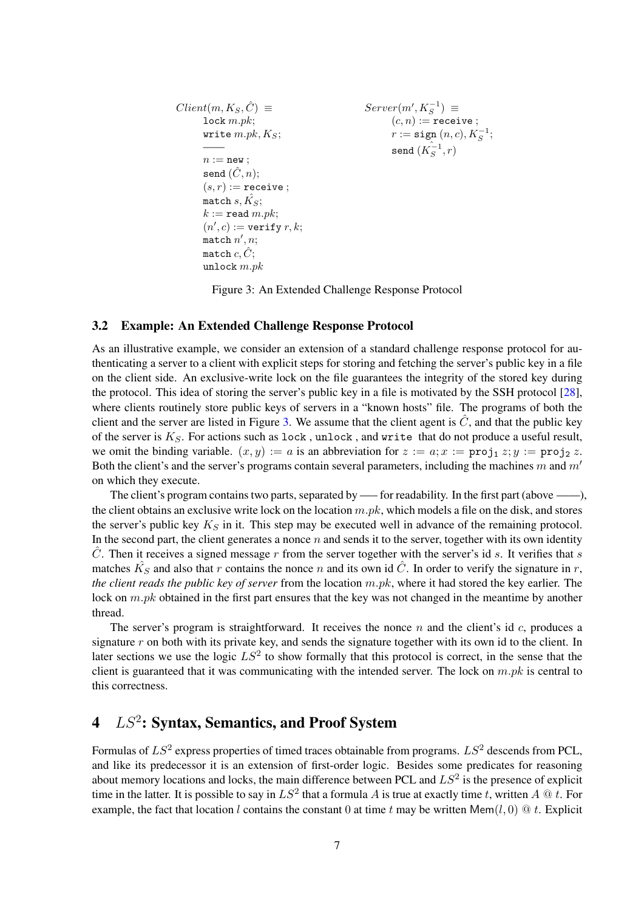| $Client(m, K_S, \hat{C}) \equiv$  | $Server(m', K_S^{-1}) \equiv$       |
|-----------------------------------|-------------------------------------|
| $lock m.pk;$                      | $(c, n) := \text{receive };$        |
| $write m.pk, K_S;$                | $r := \text{sign}(n, c), K_S^{-1};$ |
| $n := new;$                       | $send(K_S^{-1}, r)$                 |
| $send(\hat{C}, n);$               | $(s, r) := \text{receive };$        |
| $match \ s, \hat{K_S};$           | $k := \text{read } m.pk;$           |
| $(n', c) := \text{verify } r, k;$ |                                     |
| $match \ n', n;$                  |                                     |
| $match \ c, \hat{C};$             |                                     |
| $unchow, \hat{C};$                |                                     |

<span id="page-6-1"></span>Figure 3: An Extended Challenge Response Protocol

## <span id="page-6-2"></span>3.2 Example: An Extended Challenge Response Protocol

As an illustrative example, we consider an extension of a standard challenge response protocol for authenticating a server to a client with explicit steps for storing and fetching the server's public key in a file on the client side. An exclusive-write lock on the file guarantees the integrity of the stored key during the protocol. This idea of storing the server's public key in a file is motivated by the SSH protocol [\[28\]](#page-15-3), where clients routinely store public keys of servers in a "known hosts" file. The programs of both the client and the server are listed in Figure [3.](#page-6-1) We assume that the client agent is  $\hat{C}$ , and that the public key of the server is  $K_S$ . For actions such as lock, unlock, and write that do not produce a useful result, we omit the binding variable.  $(x, y) := a$  is an abbreviation for  $z := a; x := \text{proj}_1 z; y := \text{proj}_2 z$ . Both the client's and the server's programs contain several parameters, including the machines m and  $m'$ on which they execute.

The client's program contains two parts, separated by —— for readability. In the first part (above ——), the client obtains an exclusive write lock on the location  $m.pk$ , which models a file on the disk, and stores the server's public key  $K<sub>S</sub>$  in it. This step may be executed well in advance of the remaining protocol. In the second part, the client generates a nonce  $n$  and sends it to the server, together with its own identity  $\hat{C}$ . Then it receives a signed message r from the server together with the server's id s. It verifies that s matches  $\hat{K_S}$  and also that r contains the nonce n and its own id  $\hat{C}$ . In order to verify the signature in r, *the client reads the public key of server* from the location m.pk, where it had stored the key earlier. The lock on  $m.pk$  obtained in the first part ensures that the key was not changed in the meantime by another thread.

The server's program is straightforward. It receives the nonce  $n$  and the client's id  $c$ , produces a signature  $r$  on both with its private key, and sends the signature together with its own id to the client. In later sections we use the logic  $LS^2$  to show formally that this protocol is correct, in the sense that the client is guaranteed that it was communicating with the intended server. The lock on  $m.pk$  is central to this correctness.

# <span id="page-6-0"></span> $4\quad LS^2$ : Syntax, Semantics, and Proof System

Formulas of  $LS^2$  express properties of timed traces obtainable from programs.  $LS^2$  descends from PCL, and like its predecessor it is an extension of first-order logic. Besides some predicates for reasoning about memory locations and locks, the main difference between PCL and  $LS^2$  is the presence of explicit time in the latter. It is possible to say in  $LS^2$  that a formula A is true at exactly time t, written A  $@$  t. For example, the fact that location l contains the constant 0 at time t may be written Mem $(l, 0) \otimes t$ . Explicit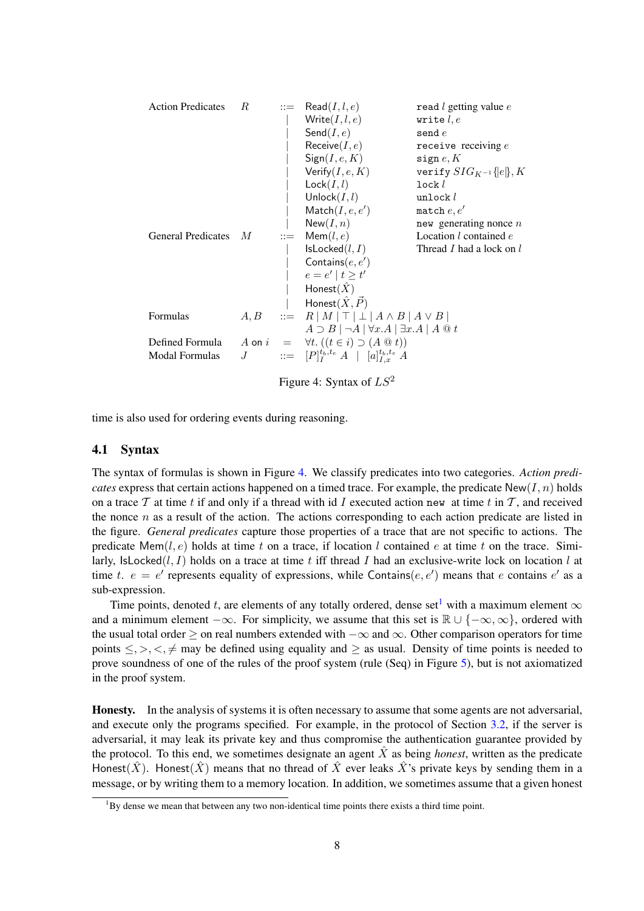| <b>Action Predicates</b>  | $\boldsymbol{R}$ |                       | $ ::= \text{ Read}(I, l, e)$                                               | read $l$ getting value $e$    |
|---------------------------|------------------|-----------------------|----------------------------------------------------------------------------|-------------------------------|
|                           |                  |                       | Write $(I, l, e)$                                                          | write $l, e$                  |
|                           |                  |                       | Send $(I, e)$                                                              | send $e$                      |
|                           |                  |                       | Receive $(I, e)$                                                           | receive receiving $e$         |
|                           |                  |                       | Sign(I, e, K)                                                              | sign $e, K$                   |
|                           |                  |                       | Verify $(I, e, K)$                                                         | verify $SIG_{K^{-1}}\{e\}, K$ |
|                           |                  |                       | Lock(I, l)                                                                 | $lock l$                      |
|                           |                  |                       | Unlock $(I, l)$                                                            | unlock $l$                    |
|                           |                  |                       | $\mathsf{Match}(I, e, e')$                                                 | match $e, e'$                 |
|                           |                  |                       | New(I, n)                                                                  | new generating nonce $n$      |
| <b>General Predicates</b> | M                | $\mathrel{\mathop:}=$ | Mem(l, e)                                                                  | Location $l$ contained $e$    |
|                           |                  |                       | IsLocked(l, I)                                                             | Thread I had a lock on l      |
|                           |                  |                       | Contains $(e, e')$                                                         |                               |
|                           |                  |                       | $e = e'   t \geq t'$                                                       |                               |
|                           |                  |                       | Honest $(\hat{X})$                                                         |                               |
|                           |                  |                       | Honest $(\hat{X}, \vec{P})$                                                |                               |
| Formulas                  |                  |                       | $A, B$ ::= $R  M  \top   \bot   A \wedge B   A \vee B  $                   |                               |
|                           |                  |                       | $A \supset B \mid \neg A \mid \forall x.A \mid \exists x.A \mid A \odot t$ |                               |
| Defined Formula           |                  |                       | A on $i = \forall t. ((t \in i) \supset (A \otimes t))$                    |                               |
| <b>Modal Formulas</b>     |                  |                       | $J$ ::= $[P]_I^{t_b,t_e} A \mid [a]_{I,r}^{t_b,t_e} A$                     |                               |
|                           |                  |                       | Figure 4: Syntax of $LS^2$                                                 |                               |

<span id="page-7-0"></span>time is also used for ordering events during reasoning.

### 4.1 Syntax

The syntax of formulas is shown in Figure [4.](#page-7-0) We classify predicates into two categories. *Action predicates* express that certain actions happened on a timed trace. For example, the predicate  $New(I, n)$  holds on a trace  $T$  at time t if and only if a thread with id I executed action new at time t in  $T$ , and received the nonce  $n$  as a result of the action. The actions corresponding to each action predicate are listed in the figure. *General predicates* capture those properties of a trace that are not specific to actions. The predicate Mem(l, e) holds at time t on a trace, if location l contained e at time t on the trace. Similarly,  $IsLocked(l, I)$  holds on a trace at time t iff thread I had an exclusive-write lock on location l at time t.  $e = e'$  represents equality of expressions, while Contains(e, e') means that e contains e' as a sub-expression.

Time points, denoted t, are elements of any totally ordered, dense set<sup>[1](#page-7-1)</sup> with a maximum element  $\infty$ and a minimum element  $-\infty$ . For simplicity, we assume that this set is  $\mathbb{R} \cup \{-\infty, \infty\}$ , ordered with the usual total order > on real numbers extended with  $-\infty$  and  $\infty$ . Other comparison operators for time points  $\leq, \geq, \leq, \neq$  may be defined using equality and  $\geq$  as usual. Density of time points is needed to prove soundness of one of the rules of the proof system (rule (Seq) in Figure [5\)](#page-11-0), but is not axiomatized in the proof system.

Honesty. In the analysis of systems it is often necessary to assume that some agents are not adversarial, and execute only the programs specified. For example, in the protocol of Section [3.2,](#page-6-2) if the server is adversarial, it may leak its private key and thus compromise the authentication guarantee provided by the protocol. To this end, we sometimes designate an agent  $\hat{X}$  as being *honest*, written as the predicate Honest( $\hat{X}$ ). Honest( $\hat{X}$ ) means that no thread of  $\hat{X}$  ever leaks  $\hat{X}$ 's private keys by sending them in a message, or by writing them to a memory location. In addition, we sometimes assume that a given honest

<span id="page-7-1"></span> $1By$  dense we mean that between any two non-identical time points there exists a third time point.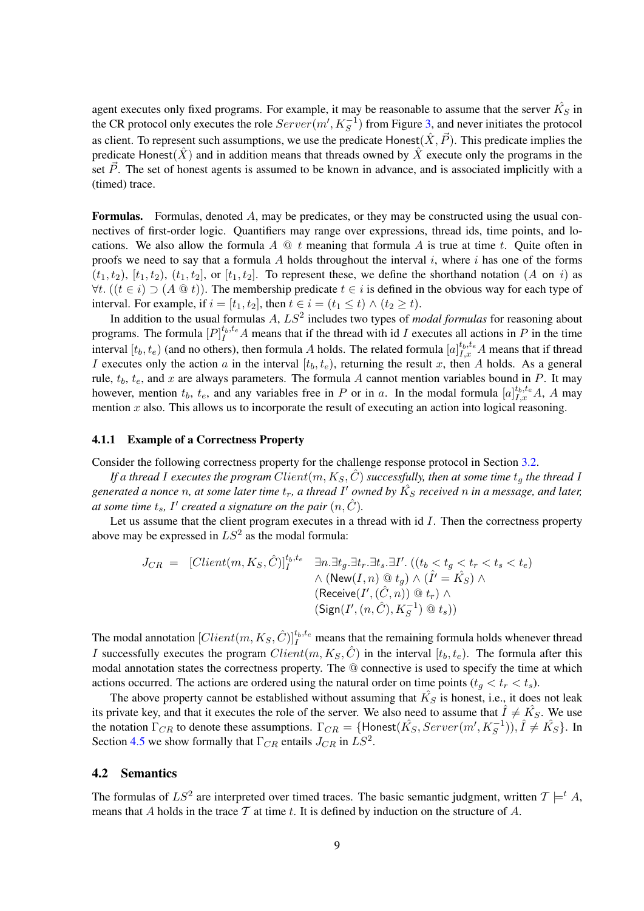agent executes only fixed programs. For example, it may be reasonable to assume that the server  $\hat{K_S}$  in the CR protocol only executes the role  $Server(m', K_S^{-1})$  from Figure [3,](#page-6-1) and never initiates the protocol as client. To represent such assumptions, we use the predicate Honest $(\hat{X}, \vec{P})$ . This predicate implies the predicate Honest( $\hat{X}$ ) and in addition means that threads owned by  $\hat{X}$  execute only the programs in the set  $\vec{P}$ . The set of honest agents is assumed to be known in advance, and is associated implicitly with a (timed) trace.

**Formulas.** Formulas, denoted  $A$ , may be predicates, or they may be constructed using the usual connectives of first-order logic. Quantifiers may range over expressions, thread ids, time points, and locations. We also allow the formula  $A \tildot Q t$  meaning that formula A is true at time t. Quite often in proofs we need to say that a formula A holds throughout the interval i, where i has one of the forms  $(t_1, t_2)$ ,  $[t_1, t_2]$ ,  $(t_1, t_2]$ , or  $[t_1, t_2]$ . To represent these, we define the shorthand notation  $(A \text{ on } i)$  as  $\forall t. ((t \in i) \supset (A \t Q t))$ . The membership predicate  $t \in i$  is defined in the obvious way for each type of interval. For example, if  $i = [t_1, t_2]$ , then  $t \in i = (t_1 \le t) \wedge (t_2 \ge t)$ .

In addition to the usual formulas A,  $LS^2$  includes two types of *modal formulas* for reasoning about programs. The formula  $[P]_I^{t_b,t_e}A$  means that if the thread with id I executes all actions in P in the time interval  $[t_b, t_e)$  (and no others), then formula A holds. The related formula  $[a]_{I,x}^{t_b,t_e}$  A means that if thread I executes only the action a in the interval  $[t_b, t_e)$ , returning the result x, then A holds. As a general rule,  $t_b$ ,  $t_e$ , and x are always parameters. The formula A cannot mention variables bound in P. It may however, mention  $t_b$ ,  $t_e$ , and any variables free in P or in a. In the modal formula  $[a]_{I,x}^{t_b,t_e}A$ , A may mention x also. This allows us to incorporate the result of executing an action into logical reasoning.

#### <span id="page-8-0"></span>4.1.1 Example of a Correctness Property

Consider the following correctness property for the challenge response protocol in Section [3.2.](#page-6-2)

*If a thread* I executes the program  $Client(m, K_S, C)$  *successfully, then at some time*  $t_q$  *the thread* I generated a nonce *n, at some later time*  $t_r$ , a thread I' owned by  $\hat{K_S}$  received *n* in a message, and later, at some time  $t_s$ , I' created a signature on the pair  $(n, \hat{C})$ .

Let us assume that the client program executes in a thread with  $id I$ . Then the correctness property above may be expressed in  $LS^2$  as the modal formula:

$$
J_{CR} = [Client(m, K_S, \hat{C})]_I^{t_b, t_e} \quad \exists n. \exists t_g. \exists t_r. \exists t_s. \exists I'. \ ((t_b < t_g < t_r < t_s < t_e) \land \ (\text{New}(I, n) \text{ @ } t_g) \land (\hat{I'} = \hat{K}_S) \land \ (\text{Receive}(I', (\hat{C}, n)) \text{ @ } t_r) \land \ (\text{Sign}(I', (n, \hat{C}), K_S^{-1}) \text{ @ } t_s))
$$

The modal annotation  $[Client(m, K_S, \hat{C})]_I^{t_b, t_e}$  means that the remaining formula holds whenever thread I successfully executes the program  $Client(m, K_S, \hat{C})$  in the interval  $[t_b, t_e)$ . The formula after this modal annotation states the correctness property. The @ connective is used to specify the time at which actions occurred. The actions are ordered using the natural order on time points  $(t_q < t_r < t_s)$ .

The above property cannot be established without assuming that  $\hat{K_S}$  is honest, i.e., it does not leak its private key, and that it executes the role of the server. We also need to assume that  $\hat{I} \neq \hat{K_S}$ . We use the notation  $\Gamma_{CR}$  to denote these assumptions.  $\Gamma_{CR} = \{\text{Honest}(\hat{K_S},Server(m', K_S^{-1})), \hat{I} \neq \hat{K_S}\}.$  In Section [4.5](#page-12-0) we show formally that  $\Gamma_{CR}$  entails  $J_{CR}$  in  $LS^2$ .

### 4.2 Semantics

The formulas of  $LS^2$  are interpreted over timed traces. The basic semantic judgment, written  $\mathcal{T} \models^t A$ , means that A holds in the trace  $\mathcal T$  at time t. It is defined by induction on the structure of A.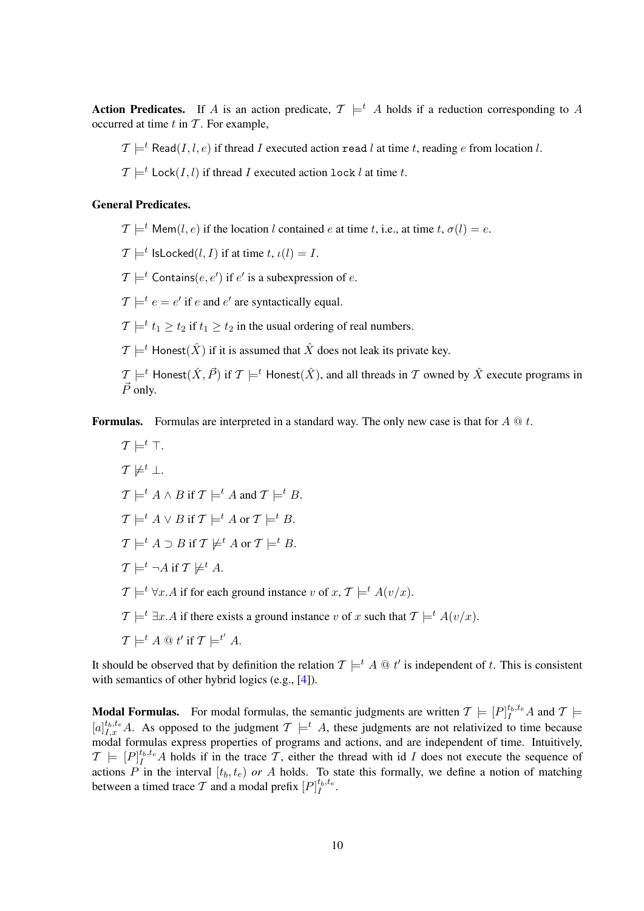**Action Predicates.** If A is an action predicate,  $\mathcal{T} \models^t A$  holds if a reduction corresponding to A occurred at time  $t$  in  $T$ . For example,

 $\mathcal{T} \models^t \text{Read}(I, l, e)$  if thread I executed action read l at time t, reading e from location l.

 $\mathcal{T} \models^t \text{Lock}(I, l)$  if thread I executed action lock l at time t.

## General Predicates.

 $\mathcal{T} \models^t \top$ 

 $\mathcal{T} \models^t \text{Mem}(l, e)$  if the location l contained e at time t, i.e., at time t,  $\sigma(l) = e$ .

 $\mathcal{T} \models^t \textsf{IsLocked}(l,I) \text{ if at time } t, \iota(l) = I.$ 

 $\mathcal{T} \models^t \mathsf{contains}(e, e')$  if  $e'$  is a subexpression of  $e$ .

 $\mathcal{T} \models^t e = e'$  if e and e' are syntactically equal.

 $\mathcal{T} \models^t t_1 \geq t_2$  if  $t_1 \geq t_2$  in the usual ordering of real numbers.

 $\mathcal{T} \models^t$  Honest $(\hat{X})$  if it is assumed that  $\hat{X}$  does not leak its private key.

 $\mathcal{T} \models^t$  Honest $(\hat{X}, \vec{P})$  if  $\mathcal{T} \models^t$  Honest $(\hat{X})$ , and all threads in  $\mathcal T$  owned by  $\hat{X}$  execute programs in  $\vec{P}$  only.

**Formulas.** Formulas are interpreted in a standard way. The only new case is that for  $A \t Q t$ .

$$
T \not\models^t \bot.
$$
  
\n
$$
T \not\models^t A \land B \text{ if } T \models^t A \text{ and } T \models^t B.
$$
  
\n
$$
T \models^t A \lor B \text{ if } T \models^t A \text{ or } T \models^t B.
$$
  
\n
$$
T \models^t A \supset B \text{ if } T \not\models^t A \text{ or } T \models^t B.
$$
  
\n
$$
T \models^t \neg A \text{ if } T \not\models^t A.
$$
  
\n
$$
T \models^t \forall x.A \text{ if for each ground instance } v \text{ of } x, T \models^t A(v/x).
$$
  
\n
$$
T \models^t \exists x.A \text{ if there exists a ground instance } v \text{ of } x \text{ such that } T \models^t A(v/x).
$$

 $\mathcal{T} \models^t A \mathrel{@} t' \text{ if } \mathcal{T} \models^{t'} A.$ 

It should be observed that by definition the relation  $\mathcal{T} \models^t A \otimes t'$  is independent of t. This is consistent with semantics of other hybrid logics (e.g., [\[4\]](#page-13-4)).

**Modal Formulas.** For modal formulas, the semantic judgments are written  $\mathcal{T} \models [P]_I^{t_b, t_e} A$  and  $\mathcal{T} \models$  $[a]_{I,x}^{t_b,t_e}$  A. As opposed to the judgment  $\mathcal{T} \models^t A$ , these judgments are not relativized to time because modal formulas express properties of programs and actions, and are independent of time. Intuitively,  $\mathcal{T} \models [P]_I^{t_b,t_e}$  A holds if in the trace  $\mathcal{T}$ , either the thread with id I does not execute the sequence of actions P in the interval  $[t_b, t_e)$  or A holds. To state this formally, we define a notion of matching between a timed trace T and a modal prefix  $[P]_I^{t_b,t_e}$ .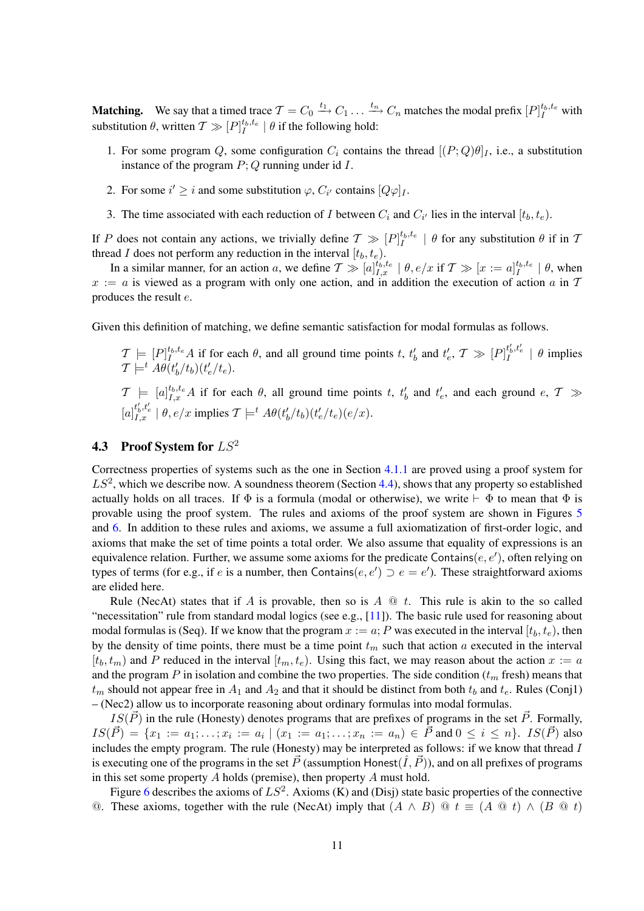**Matching.** We say that a timed trace  $T = C_0 \xrightarrow{t_1} C_1 \dots \xrightarrow{t_n} C_n$  matches the modal prefix  $[P]_I^{t_b,t_e}$  with substitution  $\theta$ , written  $\mathcal{T} \gg [P]_I^{t_b,t_e} \mid \theta$  if the following hold:

- 1. For some program Q, some configuration  $C_i$  contains the thread  $[(P; Q)\theta]_I$ , i.e., a substitution instance of the program  $P$ ; Q running under id  $I$ .
- 2. For some  $i' \geq i$  and some substitution  $\varphi$ ,  $C_{i'}$  contains  $[Q\varphi]_I$ .
- 3. The time associated with each reduction of I between  $C_i$  and  $C_{i'}$  lies in the interval  $[t_b, t_e)$ .

If P does not contain any actions, we trivially define  $\mathcal{T} \gg [P]_I^{t_b,t_e} \mid \theta$  for any substitution  $\theta$  if in T thread I does not perform any reduction in the interval  $[t_b, t_e)$ .

In a similar manner, for an action a, we define  $T \gg [a]_{I,x}^{t_b,t_e} \mid \theta, e/x$  if  $T \gg [x := a]_{I}^{t_b,t_e} \mid \theta$ , when  $x := a$  is viewed as a program with only one action, and in addition the execution of action a in T produces the result e.

Given this definition of matching, we define semantic satisfaction for modal formulas as follows.

 $\mathcal{T} \models [P]_I^{t_b, t_e} A$  if for each  $\theta$ , and all ground time points t,  $t'_b$  and  $t'_e$ ,  $\mathcal{T} \gg [P]_I^{t'_b, t'_e} \mid \theta$  implies  $\mathcal{T} \models^t A\theta(t'_b/t_b)(t'_e/t_e).$ 

 $\mathcal{T} \models [a]_{I,x}^{t_b,t_e} A$  if for each  $\theta$ , all ground time points t,  $t'_b$  and  $t'_e$ , and each ground  $e, \mathcal{T} \gg$  $[a]_{I,x}^{t'_b,t'_e} | \theta, e/x$  implies  $\mathcal{T} \models^t A\theta(t'_b/t_b)(t'_e/t_e)(e/x)$ .

# 4.3 Proof System for  $LS^2$

Correctness properties of systems such as the one in Section [4.1.1](#page-8-0) are proved using a proof system for  $LS<sup>2</sup>$ , which we describe now. A soundness theorem (Section [4.4\)](#page-12-1), shows that any property so established actually holds on all traces. If  $\Phi$  is a formula (modal or otherwise), we write  $\vdash \Phi$  to mean that  $\Phi$  is provable using the proof system. The rules and axioms of the proof system are shown in Figures [5](#page-11-0) and [6.](#page-11-1) In addition to these rules and axioms, we assume a full axiomatization of first-order logic, and axioms that make the set of time points a total order. We also assume that equality of expressions is an equivalence relation. Further, we assume some axioms for the predicate Contains $(e, e')$ , often relying on types of terms (for e.g., if e is a number, then Contains $(e, e') \supset e = e'$ ). These straightforward axioms are elided here.

Rule (NecAt) states that if A is provable, then so is  $A \t Q t$ . This rule is akin to the so called "necessitation" rule from standard modal logics (see e.g.,  $[11]$ ). The basic rule used for reasoning about modal formulas is (Seq). If we know that the program  $x := a$ ; P was executed in the interval  $[t_b, t_e)$ , then by the density of time points, there must be a time point  $t_m$  such that action a executed in the interval  $[t_b, t_m)$  and P reduced in the interval  $[t_m, t_e)$ . Using this fact, we may reason about the action  $x := a$ and the program P in isolation and combine the two properties. The side condition  $(t_m$  fresh) means that  $t_m$  should not appear free in  $A_1$  and  $A_2$  and that it should be distinct from both  $t_b$  and  $t_e$ . Rules (Conj1) – (Nec2) allow us to incorporate reasoning about ordinary formulas into modal formulas.

 $IS(\vec{P})$  in the rule (Honesty) denotes programs that are prefixes of programs in the set  $\vec{P}$ . Formally,  $IS(\vec{P}) = \{x_1 := a_1; \ldots; x_i := a_i \mid (x_1 := a_1; \ldots; x_n := a_n) \in \vec{P} \text{ and } 0 \le i \le n\}.$   $IS(\vec{P})$  also includes the empty program. The rule (Honesty) may be interpreted as follows: if we know that thread I is executing one of the programs in the set  $\vec{P}$  (assumption Honest $(\hat{I}, \vec{P})$ ), and on all prefixes of programs in this set some property  $A$  holds (premise), then property  $A$  must hold.

Figure [6](#page-11-1) describes the axioms of  $LS^2$ . Axioms (K) and (Disj) state basic properties of the connective ©. These axioms, together with the rule (NecAt) imply that  $(A \wedge B)$  ©  $t \equiv (A \otimes t) \wedge (B \otimes t)$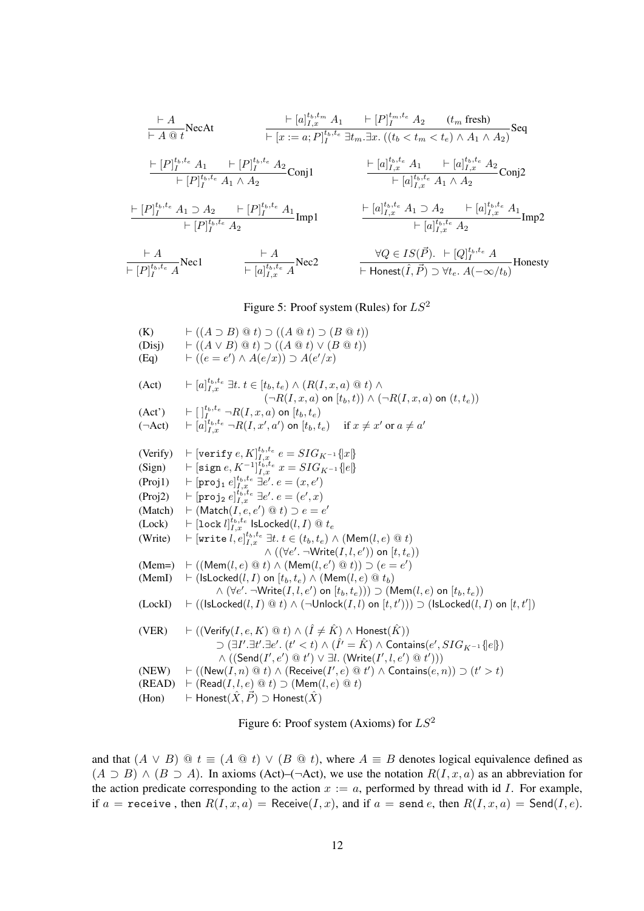$$
\frac{\vdash A}{\vdash A \text{ @ } t} \text{NecAt} \qquad \frac{\vdash [a]_{I,x}^{t_b,t_m} A_1 \quad \vdash [P]_{I}^{t_m,t_e} A_2 \quad (t_m \text{ fresh})}{\vdash [x := a; P]_{I}^{t_b,t_e} \exists t_m. \exists x. ((t_b < t_m < t_e) \land A_1 \land A_2)} \text{Seq}
$$
\n
$$
\frac{\vdash [P]_{I}^{t_b,t_e} A_1 \quad \vdash [P]_{I}^{t_b,t_e} A_2}{\vdash [P]_{I}^{t_b,t_e} A_1 \land A_2} \text{Conj1} \qquad \frac{\vdash [a]_{I,x}^{t_b,t_e} A_1 \quad \vdash [a]_{I,x}^{t_b,t_e} A_2}{\vdash [a]_{I,x}^{t_b,t_e} A_1 \land A_2} \text{Conj2}
$$
\n
$$
\frac{\vdash [P]_{I}^{t_b,t_e} A_1 \supset A_2 \quad \vdash [P]_{I}^{t_b,t_e} A_1}{\vdash [P]_{I}^{t_b,t_e} A_2} \text{Im} \text{Im} \text{P2}
$$
\n
$$
\frac{\vdash A}{\vdash [P]_{I,x}^{t_b,t_e} A} \text{Nec1} \qquad \frac{\vdash A}{\vdash [a]_{I,x}^{t_b,t_e} A} \text{Nec2} \qquad \frac{\forall Q \in IS(\vec{P}). \quad \vdash [Q]_{I}^{t_b,t_e} A}{\vdash \text{Honest}(\hat{I},\vec{P}) \supset \forall t_e. A(-\infty/t_b)} \text{Honesty}
$$

# <span id="page-11-0"></span>Figure 5: Proof system (Rules) for  $LS^2$

| (K)<br>(Disj)<br>(Eq)         | $\vdash ((A \supset B) \mathrel{@} t) \supset ((A \mathrel{@} t) \supset (B \mathrel{@} t))$<br>$\vdash ((A \lor B) \t@ t) \supset ((A \t@ t) \lor (B \t@ t))$<br>$\vdash ((e = e') \land A(e/x)) \supset A(e'/x)$                                               |
|-------------------------------|------------------------------------------------------------------------------------------------------------------------------------------------------------------------------------------------------------------------------------------------------------------|
| (Act)                         | $\vdash [a]_{I,r}^{t_b,t_e} \exists t. t \in [t_b,t_e) \land (R(I,x,a) \otimes t) \land$<br>$(\neg R(I, x, a)$ on $[t_b, t)) \wedge (\neg R(I, x, a)$ on $(t, t_e))$                                                                                             |
| (Act')<br>$(\neg \text{Act})$ | $\vdash \lbrack \; \rbrack_{I}^{t_{b},t_{e}} \neg R(I,x,a)$ on $[t_{b},t_{e})$<br>$\mathcal{L} \vdash [a]_{I}^{t_b,t_e} \neg R(I,x',a')$ on $[t_b,t_e]$ if $x \neq x'$ or $a \neq a'$                                                                            |
|                               | (Verify) $\vdash$ [verify $e, K]_{I, x}^{t_b, t_e}$ $e = SIG_{K^{-1}}\{x\}$                                                                                                                                                                                      |
| (Sign)                        | $\mathcal{F} = \left[\text{sign } e, K^{-1}\right]_{L,x}^{t_b, t_e} x = SIG_{K^{-1}}\left\{e\right\}$                                                                                                                                                            |
| (Proj1)                       | $\mathcal{F} \vdash [\texttt{proj}_1 \ e]_{I.x}^{t_b,t_e} \ \exists e'. \ e = (x,e')$                                                                                                                                                                            |
| (Proj2)                       | $\mathbb{H} \models [\mathtt{proj}_2\, e]^{t_b,t_e}_{I.x} \; \exists e'.\, e = (e',x)$                                                                                                                                                                           |
| (Match)                       | $\vdash$ (Match(I, e, e') $\circledcirc$ t) $\supset$ e = e'                                                                                                                                                                                                     |
| (Lock)                        | $\vdash [\texttt{lock}\; l]_{I.x}^{t_b,t_e}$ lsLocked $(l,I)\; @\; t_e$                                                                                                                                                                                          |
| (Write)                       | $\vdash$ [write $l, e]_{I, x}^{t_b, t_e} \exists t. t \in (t_b, t_e) \land (Mem(l, e) \otimes t)$                                                                                                                                                                |
|                               | $\wedge ((\forall e'.\ \neg Write(I, l, e'))$ on $[t, t_e))$                                                                                                                                                                                                     |
| $(Mem=)$                      | $\vdash ((\mathsf{Mem}(l, e) \mathrel{@} t) \land (\mathsf{Mem}(l, e') \mathrel{@} t)) \supset (e = e')$                                                                                                                                                         |
| (MemI)                        | $\vdash$ (IsLocked $(l, I)$ on $[t_b, t_e) \wedge$ (Mem $(l, e) \otimes t_b$ )                                                                                                                                                                                   |
| (LockI)                       | $\wedge (\forall e'. \neg Write(I, l, e')$ on $[t_b, t_e))) \supset (\mathsf{Mem}(l, e)$ on $[t_b, t_e))$<br>$\vdash ((\mathsf{lsLocked}(l,I) \ @ t) \wedge (\neg \mathsf{Unlock}(I,l) \text{ on } [t,t'))) \supset (\mathsf{lsLocked}(l,I) \text{ on } [t,t'])$ |
| (VER)                         | $\vdash$ ((Verify(I, e, K) $\circledcirc$ t) $\wedge$ ( $\hat{I} \neq \hat{K}$ ) $\wedge$ Honest( $\hat{K}$ ))                                                                                                                                                   |
|                               | $\supset (\exists I'.\exists t'.\exists e'. (t' < t) \wedge (\hat{I'} = \hat{K}) \wedge$ Contains $(e', SIG_{K^{-1}}\{e\})$                                                                                                                                      |
|                               | $\wedge ((\mathsf{Send}(I',e') \t\t@ t') \vee \exists l. (Write(I',l,e') \t@ t'))$                                                                                                                                                                               |
| (NEW)                         | $\vdash ((\mathsf{New}(I, n) \t\t@ t) \wedge (\mathsf{Receive}(I', e) \t@ t') \wedge \mathsf{contains}(e, n)) \supset (t' > t)$                                                                                                                                  |
| (READ)                        | $\vdash$ (Read(I, l, e) $\circledcirc$ t) $\supset$ (Mem(l, e) $\circledcirc$ t)                                                                                                                                                                                 |
| (Hon)                         | $\vdash$ Honest $(\hat{X}, \vec{P}) \supset$ Honest $(\hat{X})$                                                                                                                                                                                                  |

<span id="page-11-1"></span>Figure 6: Proof system (Axioms) for  $LS^2$ 

and that  $(A \vee B) \ @ t \equiv (A \otimes t) \vee (B \otimes t)$ , where  $A \equiv B$  denotes logical equivalence defined as  $(A \supset B) \wedge (B \supset A)$ . In axioms (Act)–(¬Act), we use the notation  $R(I, x, a)$  as an abbreviation for the action predicate corresponding to the action  $x := a$ , performed by thread with id I. For example, if  $a = \text{receive}$ , then  $R(I, x, a) = \text{Received}(I, x)$ , and if  $a = \text{send } e$ , then  $R(I, x, a) = \text{Send}(I, e)$ .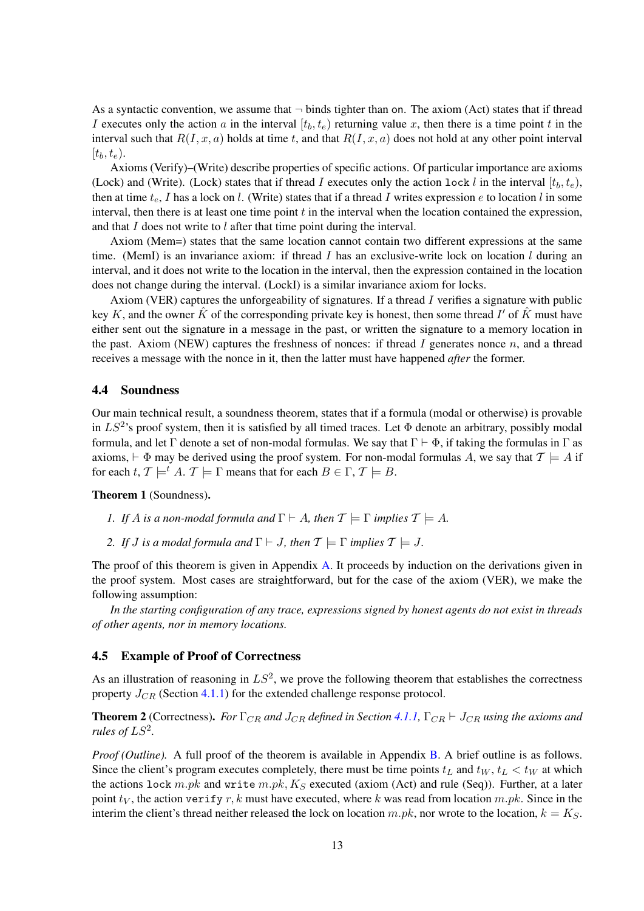As a syntactic convention, we assume that  $\neg$  binds tighter than on. The axiom (Act) states that if thread I executes only the action a in the interval  $[t_b, t_e)$  returning value x, then there is a time point t in the interval such that  $R(I, x, a)$  holds at time t, and that  $R(I, x, a)$  does not hold at any other point interval  $[t_b, t_e].$ 

Axioms (Verify)–(Write) describe properties of specific actions. Of particular importance are axioms (Lock) and (Write). (Lock) states that if thread I executes only the action lock l in the interval  $[t_b, t_e)$ , then at time  $t_e$ , I has a lock on l. (Write) states that if a thread I writes expression e to location l in some interval, then there is at least one time point  $t$  in the interval when the location contained the expression, and that  $I$  does not write to  $l$  after that time point during the interval.

Axiom (Mem=) states that the same location cannot contain two different expressions at the same time. (MemI) is an invariance axiom: if thread I has an exclusive-write lock on location  $l$  during an interval, and it does not write to the location in the interval, then the expression contained in the location does not change during the interval. (LockI) is a similar invariance axiom for locks.

Axiom (VER) captures the unforgeability of signatures. If a thread I verifies a signature with public key K, and the owner  $\hat{K}$  of the corresponding private key is honest, then some thread  $I'$  of  $\hat{K}$  must have either sent out the signature in a message in the past, or written the signature to a memory location in the past. Axiom (NEW) captures the freshness of nonces: if thread I generates nonce  $n$ , and a thread receives a message with the nonce in it, then the latter must have happened *after* the former.

### <span id="page-12-1"></span>4.4 Soundness

Our main technical result, a soundness theorem, states that if a formula (modal or otherwise) is provable in  $LS^2$ 's proof system, then it is satisfied by all timed traces. Let  $\Phi$  denote an arbitrary, possibly modal formula, and let Γ denote a set of non-modal formulas. We say that  $\Gamma \vdash \Phi$ , if taking the formulas in Γ as axioms,  $\vdash \Phi$  may be derived using the proof system. For non-modal formulas A, we say that  $\mathcal{T} \models A$  if for each t,  $\mathcal{T} \models^t A$ .  $\mathcal{T} \models \Gamma$  means that for each  $B \in \Gamma$ ,  $\mathcal{T} \models B$ .

### <span id="page-12-2"></span>Theorem 1 (Soundness).

- *1. If A is a non-modal formula and*  $\Gamma \vdash A$ *, then*  $\mathcal{T} \models \Gamma$  *implies*  $\mathcal{T} \models A$ *.*
- *2. If J is a modal formula and*  $\Gamma \vdash J$ *, then*  $\mathcal{T} \models \Gamma$  *implies*  $\mathcal{T} \models J$ *.*

The proof of this theorem is given in Appendix [A.](#page-15-4) It proceeds by induction on the derivations given in the proof system. Most cases are straightforward, but for the case of the axiom (VER), we make the following assumption:

*In the starting configuration of any trace, expressions signed by honest agents do not exist in threads of other agents, nor in memory locations.*

## <span id="page-12-0"></span>4.5 Example of Proof of Correctness

As an illustration of reasoning in  $LS^2$ , we prove the following theorem that establishes the correctness property  $J_{CR}$  (Section [4.1.1\)](#page-8-0) for the extended challenge response protocol.

<span id="page-12-3"></span>**Theorem 2** (Correctness). *For*  $\Gamma_{CR}$  *and*  $J_{CR}$  *defined in Section* [4.1.1,](#page-8-0)  $\Gamma_{CR} \vdash J_{CR}$  *using the axioms and rules of*  $LS^2$ .

*Proof (Outline).* A full proof of the theorem is available in Appendix [B.](#page-19-0) A brief outline is as follows. Since the client's program executes completely, there must be time points  $t<sub>L</sub>$  and  $t<sub>W</sub>$ ,  $t<sub>L</sub> < t<sub>W</sub>$  at which the actions lock  $m.pk$  and write  $m.pk$ ,  $K_S$  executed (axiom (Act) and rule (Seq)). Further, at a later point  $t_V$ , the action verify r, k must have executed, where k was read from location m.pk. Since in the interim the client's thread neither released the lock on location  $m.pk$ , nor wrote to the location,  $k = K<sub>S</sub>$ .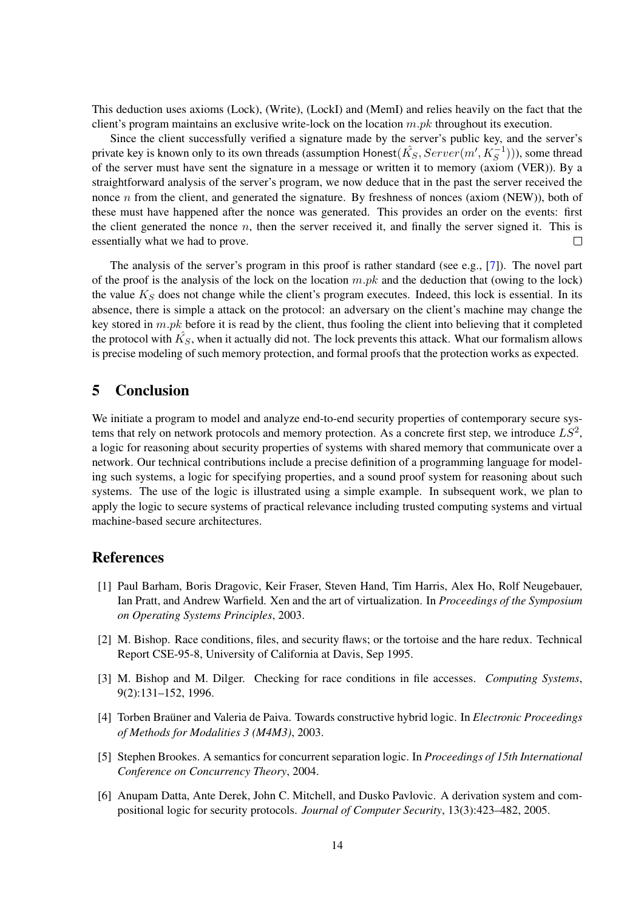This deduction uses axioms (Lock), (Write), (LockI) and (MemI) and relies heavily on the fact that the client's program maintains an exclusive write-lock on the location  $m.pk$  throughout its execution.

Since the client successfully verified a signature made by the server's public key, and the server's private key is known only to its own threads (assumption Honest( $\hat{K_S}, Server(m',K_S^{-1}$ ))), some thread of the server must have sent the signature in a message or written it to memory (axiom (VER)). By a straightforward analysis of the server's program, we now deduce that in the past the server received the nonce  $n$  from the client, and generated the signature. By freshness of nonces (axiom (NEW)), both of these must have happened after the nonce was generated. This provides an order on the events: first the client generated the nonce  $n$ , then the server received it, and finally the server signed it. This is essentially what we had to prove.  $\Box$ 

The analysis of the server's program in this proof is rather standard (see e.g., [\[7\]](#page-14-0)). The novel part of the proof is the analysis of the lock on the location  $m.pk$  and the deduction that (owing to the lock) the value  $K<sub>S</sub>$  does not change while the client's program executes. Indeed, this lock is essential. In its absence, there is simple a attack on the protocol: an adversary on the client's machine may change the key stored in  $m.pk$  before it is read by the client, thus fooling the client into believing that it completed the protocol with  $\hat{K_S}$ , when it actually did not. The lock prevents this attack. What our formalism allows is precise modeling of such memory protection, and formal proofs that the protection works as expected.

# <span id="page-13-6"></span>5 Conclusion

We initiate a program to model and analyze end-to-end security properties of contemporary secure systems that rely on network protocols and memory protection. As a concrete first step, we introduce  $LS^2$ , a logic for reasoning about security properties of systems with shared memory that communicate over a network. Our technical contributions include a precise definition of a programming language for modeling such systems, a logic for specifying properties, and a sound proof system for reasoning about such systems. The use of the logic is illustrated using a simple example. In subsequent work, we plan to apply the logic to secure systems of practical relevance including trusted computing systems and virtual machine-based secure architectures.

# **References**

- <span id="page-13-0"></span>[1] Paul Barham, Boris Dragovic, Keir Fraser, Steven Hand, Tim Harris, Alex Ho, Rolf Neugebauer, Ian Pratt, and Andrew Warfield. Xen and the art of virtualization. In *Proceedings of the Symposium on Operating Systems Principles*, 2003.
- <span id="page-13-1"></span>[2] M. Bishop. Race conditions, files, and security flaws; or the tortoise and the hare redux. Technical Report CSE-95-8, University of California at Davis, Sep 1995.
- <span id="page-13-2"></span>[3] M. Bishop and M. Dilger. Checking for race conditions in file accesses. *Computing Systems*, 9(2):131–152, 1996.
- <span id="page-13-4"></span>[4] Torben Braüner and Valeria de Paiva. Towards constructive hybrid logic. In *Electronic Proceedings of Methods for Modalities 3 (M4M3)*, 2003.
- <span id="page-13-5"></span>[5] Stephen Brookes. A semantics for concurrent separation logic. In *Proceedings of 15th International Conference on Concurrency Theory*, 2004.
- <span id="page-13-3"></span>[6] Anupam Datta, Ante Derek, John C. Mitchell, and Dusko Pavlovic. A derivation system and compositional logic for security protocols. *Journal of Computer Security*, 13(3):423–482, 2005.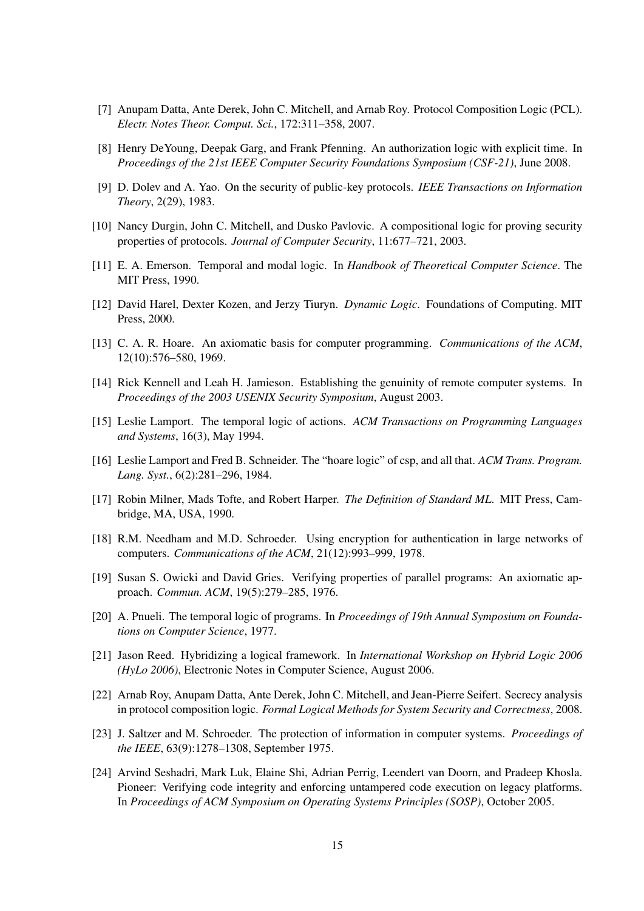- <span id="page-14-0"></span>[7] Anupam Datta, Ante Derek, John C. Mitchell, and Arnab Roy. Protocol Composition Logic (PCL). *Electr. Notes Theor. Comput. Sci.*, 172:311–358, 2007.
- <span id="page-14-5"></span>[8] Henry DeYoung, Deepak Garg, and Frank Pfenning. An authorization logic with explicit time. In *Proceedings of the 21st IEEE Computer Security Foundations Symposium (CSF-21)*, June 2008.
- <span id="page-14-15"></span>[9] D. Dolev and A. Yao. On the security of public-key protocols. *IEEE Transactions on Information Theory*, 2(29), 1983.
- <span id="page-14-1"></span>[10] Nancy Durgin, John C. Mitchell, and Dusko Pavlovic. A compositional logic for proving security properties of protocols. *Journal of Computer Security*, 11:677–721, 2003.
- <span id="page-14-17"></span>[11] E. A. Emerson. Temporal and modal logic. In *Handbook of Theoretical Computer Science*. The MIT Press, 1990.
- <span id="page-14-10"></span>[12] David Harel, Dexter Kozen, and Jerzy Tiuryn. *Dynamic Logic*. Foundations of Computing. MIT Press, 2000.
- <span id="page-14-11"></span>[13] C. A. R. Hoare. An axiomatic basis for computer programming. *Communications of the ACM*, 12(10):576–580, 1969.
- <span id="page-14-8"></span>[14] Rick Kennell and Leah H. Jamieson. Establishing the genuinity of remote computer systems. In *Proceedings of the 2003 USENIX Security Symposium*, August 2003.
- <span id="page-14-14"></span>[15] Leslie Lamport. The temporal logic of actions. *ACM Transactions on Programming Languages and Systems*, 16(3), May 1994.
- <span id="page-14-12"></span>[16] Leslie Lamport and Fred B. Schneider. The "hoare logic" of csp, and all that. *ACM Trans. Program. Lang. Syst.*, 6(2):281–296, 1984.
- <span id="page-14-3"></span>[17] Robin Milner, Mads Tofte, and Robert Harper. *The Definition of Standard ML*. MIT Press, Cambridge, MA, USA, 1990.
- <span id="page-14-16"></span>[18] R.M. Needham and M.D. Schroeder. Using encryption for authentication in large networks of computers. *Communications of the ACM*, 21(12):993–999, 1978.
- <span id="page-14-13"></span>[19] Susan S. Owicki and David Gries. Verifying properties of parallel programs: An axiomatic approach. *Commun. ACM*, 19(5):279–285, 1976.
- <span id="page-14-7"></span>[20] A. Pnueli. The temporal logic of programs. In *Proceedings of 19th Annual Symposium on Foundations on Computer Science*, 1977.
- <span id="page-14-6"></span>[21] Jason Reed. Hybridizing a logical framework. In *International Workshop on Hybrid Logic 2006 (HyLo 2006)*, Electronic Notes in Computer Science, August 2006.
- <span id="page-14-2"></span>[22] Arnab Roy, Anupam Datta, Ante Derek, John C. Mitchell, and Jean-Pierre Seifert. Secrecy analysis in protocol composition logic. *Formal Logical Methods for System Security and Correctness*, 2008.
- <span id="page-14-4"></span>[23] J. Saltzer and M. Schroeder. The protection of information in computer systems. *Proceedings of the IEEE*, 63(9):1278–1308, September 1975.
- <span id="page-14-9"></span>[24] Arvind Seshadri, Mark Luk, Elaine Shi, Adrian Perrig, Leendert van Doorn, and Pradeep Khosla. Pioneer: Verifying code integrity and enforcing untampered code execution on legacy platforms. In *Proceedings of ACM Symposium on Operating Systems Principles (SOSP)*, October 2005.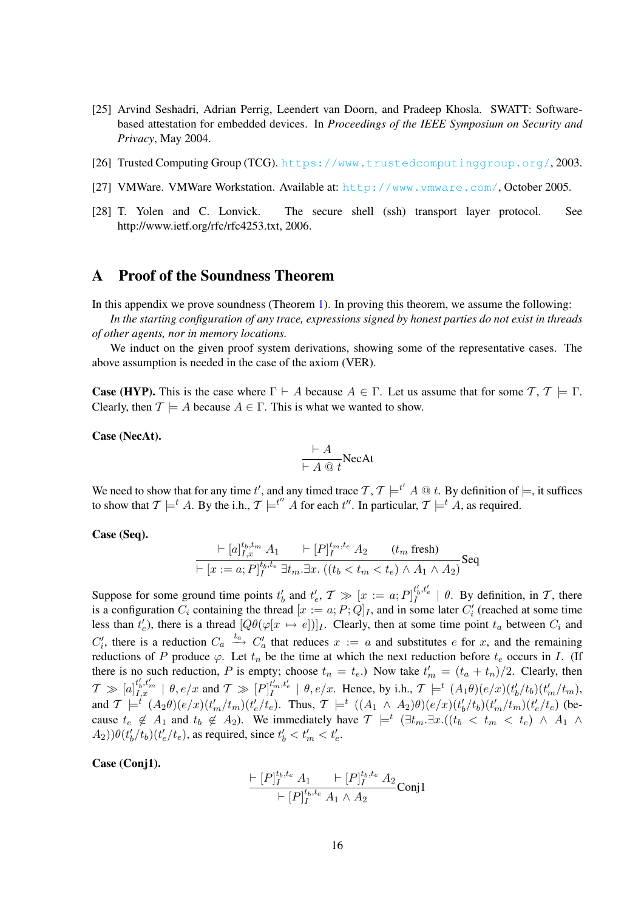- <span id="page-15-2"></span>[25] Arvind Seshadri, Adrian Perrig, Leendert van Doorn, and Pradeep Khosla. SWATT: Softwarebased attestation for embedded devices. In *Proceedings of the IEEE Symposium on Security and Privacy*, May 2004.
- <span id="page-15-0"></span>[26] Trusted Computing Group (TCG). <https://www.trustedcomputinggroup.org/>, 2003.
- <span id="page-15-1"></span>[27] VMWare. VMWare Workstation. Available at: <http://www.vmware.com/>, October 2005.
- <span id="page-15-3"></span>[28] T. Yolen and C. Lonvick. The secure shell (ssh) transport layer protocol. See http://www.ietf.org/rfc/rfc4253.txt, 2006.

# <span id="page-15-4"></span>A Proof of the Soundness Theorem

 $\mathbf{t}$ 

In this appendix we prove soundness (Theorem [1\)](#page-12-2). In proving this theorem, we assume the following:

*In the starting configuration of any trace, expressions signed by honest parties do not exist in threads of other agents, nor in memory locations.*

We induct on the given proof system derivations, showing some of the representative cases. The above assumption is needed in the case of the axiom (VER).

**Case (HYP).** This is the case where  $\Gamma \vdash A$  because  $A \in \Gamma$ . Let us assume that for some  $\mathcal{T}, \mathcal{T} \models \Gamma$ . Clearly, then  $\mathcal{T} \models A$  because  $A \in \Gamma$ . This is what we wanted to show.

Case (NecAt).

$$
\frac{\vdash A}{\vdash A \text{ @ } t} \text{NecAt}
$$

We need to show that for any time t', and any timed trace  $\mathcal{T}, \mathcal{T} \models^{t'} A \mathcal{Q} t$ . By definition of  $\models$ , it suffices to show that  $\mathcal{T} \models^t A$ . By the i.h.,  $\mathcal{T} \models^{t''} A$  for each  $t''$ . In particular,  $\mathcal{T} \models^t A$ , as required.

#### Case (Seq).

$$
\frac{\vdash [a]_{I,x}^{t_b, t_m} A_1 \qquad \vdash [P]_{I}^{t_m, t_e} A_2 \qquad (t_m \text{ fresh})}{\vdash [x := a; P]_{I}^{t_b, t_e} \exists t_m. \exists x. \ ((t_b < t_m < t_e) \land A_1 \land A_2)} \text{Seq}
$$

Suppose for some ground time points  $t'_b$  and  $t'_e$ ,  $\mathcal{T} \gg [x := a; P]_I^{t'_b, t'_e} \mid \theta$ . By definition, in  $\mathcal{T}$ , there is a configuration  $C_i$  containing the thread  $[x := a; P; Q]_I$ , and in some later  $C'_i$  (reached at some time less than  $t'_e$ ), there is a thread  $[Q\theta(\varphi[x \mapsto e])]$ . Clearly, then at some time point  $t_a$  between  $C_i$  and  $C'_i$ , there is a reduction  $C_a \stackrel{t_a}{\longrightarrow} C'_a$  that reduces  $x := a$  and substitutes e for x, and the remaining reductions of P produce  $\varphi$ . Let  $t_n$  be the time at which the next reduction before  $t_e$  occurs in I. (If there is no such reduction, P is empty; choose  $t_n = t_e$ .) Now take  $t'_m = (t_a + t_n)/2$ . Clearly, then  $\mathcal{T} \gg [a]_{I,x}^{t'_b,t'_m} \mid \theta, e/x$  and  $\mathcal{T} \gg [P]_{I}^{t'_m,t'_e} \mid \theta, e/x$ . Hence, by i.h.,  $\mathcal{T} \models^t (A_1\theta)(e/x)(t'_b/t_b)(t'_m/t_m)$ , and  $\mathcal{T} \models^t (A_2\theta)(e/x)(t_m'/t_m)(t_e'/t_e)$ . Thus,  $\mathcal{T} \models^t ((A_1 \wedge A_2)\theta)(e/x)(t_b'/t_b)(t_m'/t_m)(t_e'/t_e)$  (because  $t_e \notin A_1$  and  $t_b \notin A_2$ ). We immediately have  $\mathcal{T} \models^t (\exists t_m. \exists x. ((t_b < t_m < t_e) \land A_1 \land$  $(A_2)\theta(t'_b/t_b)(t'_e/t_e)$ , as required, since  $t'_b < t'_m < t'_e$ .

### Case (Conj1).

$$
\frac{\vdash [P]_I^{t_b, t_e} A_1 \qquad \vdash [P]_I^{t_b, t_e} A_2}{\vdash [P]_I^{t_b, t_e} A_1 \land A_2} \text{Conj1}
$$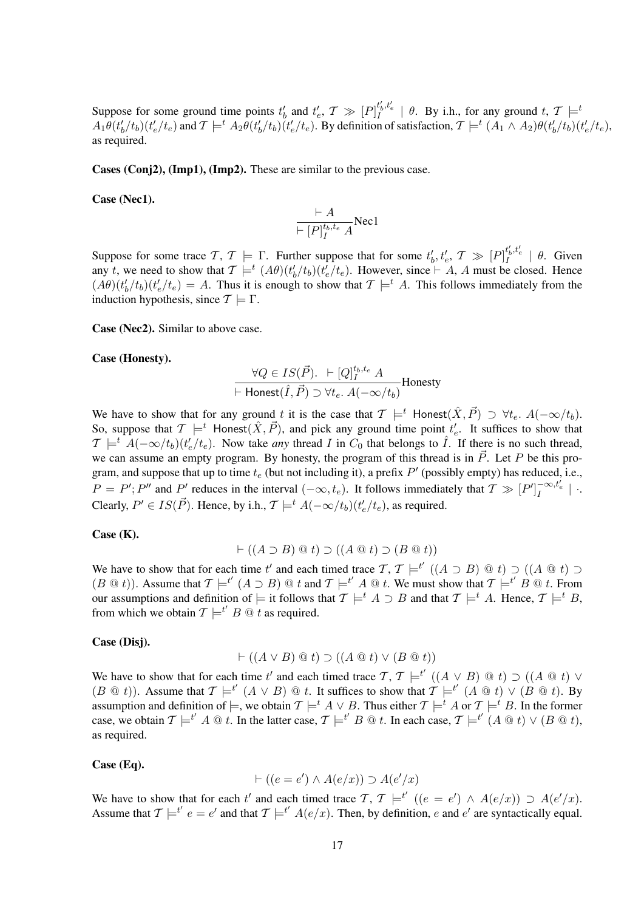Suppose for some ground time points  $t'_b$  and  $t'_e$ ,  $\mathcal{T} \gg [P]_I^{t'_b, t'_e} \mid \theta$ . By i.h., for any ground  $t, \mathcal{T} \models^t$  $A_1\theta(t'_b/t_b)(t'_e/t_e)$  and  $\mathcal{T}\models^t A_2\theta(t'_b/t_b)(t'_e/t_e)$ . By definition of satisfaction,  $\mathcal{T}\models^t (A_1\wedge A_2)\theta(t'_b/t_b)(t'_e/t_e)$ , as required.

Cases (Conj2), (Imp1), (Imp2). These are similar to the previous case.

Case (Nec1).

$$
\frac{\vdash A}{\vdash [P]_I^{t_b,t_e} A} \text{Nec1}
$$

Suppose for some trace  $\mathcal{T}$ ,  $\mathcal{T} \models \Gamma$ . Further suppose that for some  $t'_{b}$ ,  $t'_{e}$ ,  $\mathcal{T} \gg [P]_I^{t'_{b}, t'_{e}} \mid \theta$ . Given any t, we need to show that  $\mathcal{T} \models^t (A\theta)(t'_b/t_b)(t'_e/t_e)$ . However, since  $\vdash A$ , A must be closed. Hence  $(A\theta)(t'_b/t_b)(t'_e/t_e) = A$ . Thus it is enough to show that  $\mathcal{T} \models^t A$ . This follows immediately from the induction hypothesis, since  $\mathcal{T} \models \Gamma$ .

Case (Nec2). Similar to above case.

#### Case (Honesty).

$$
\frac{\forall Q \in IS(\vec{P}). \ \vdash [Q]_I^{t_b, t_e} \ A}{\vdash \text{Honest}(\hat{I}, \vec{P}) \supset \forall t_e. \ A(-\infty/t_b)} \text{Honesty}
$$

We have to show that for any ground t it is the case that  $\mathcal{T} \models^t$  Honest $(\hat{X}, \vec{P}) \supset \forall t_e$ .  $A(-\infty/t_b)$ . So, suppose that  $\mathcal{T} \models^t \text{Honest}(\hat{X}, \vec{P})$ , and pick any ground time point  $t'_e$ . It suffices to show that  $T \models^t A(-\infty/t_b)(t_e'/t_e)$ . Now take *any* thread I in  $C_0$  that belongs to  $\hat{I}$ . If there is no such thread, we can assume an empty program. By honesty, the program of this thread is in  $\vec{P}$ . Let P be this program, and suppose that up to time  $t_e$  (but not including it), a prefix  $P'$  (possibly empty) has reduced, i.e.,  $P = P'$ ; P'' and P' reduces in the interval  $(-\infty, t_e)$ . It follows immediately that  $\mathcal{T} \gg [P']_I^{-\infty, t'_e}$  | . Clearly,  $P' \in IS(\vec{P})$ . Hence, by i.h.,  $\mathcal{T} \models^t A(-\infty/t_b)(t'_e/t_e)$ , as required.

### Case (K).

$$
\vdash ((A \supset B) \mathrel{@} t) \supset ((A \mathrel{@} t) \supset (B \mathrel{@} t))
$$

We have to show that for each time t' and each timed trace  $\mathcal{T}, \mathcal{T} \models^{t'} ((A \supset B) \mathbb{Q} t) \supset ((A \mathbb{Q} t) \supset$  $(B \t{a} t)$ ). Assume that  $\mathcal{T} \models^{t'} (A \supset B) \t{a} t$  and  $\mathcal{T} \models^{t'} A \t{a} t$ . We must show that  $\mathcal{T} \models^{t'} B \t{a} t$ . From our assumptions and definition of  $\models$  it follows that  $\mathcal{T} \models^t A \supset B$  and that  $\mathcal{T} \models^t A$ . Hence,  $\mathcal{T} \models^t B$ , from which we obtain  $\mathcal{T} \models^{t'} B \mathcal{Q} t$  as required.

#### Case (Disj).

$$
\vdash ((A \lor B) \t@ t) \supset ((A \t@ t) \lor (B \t@ t))
$$

We have to show that for each time t' and each timed trace  $\mathcal{T}, \mathcal{T} \models^{t'} ((A \lor B) \mathcal{Q} t) \supset ((A \mathcal{Q} t) \lor$  $(B \t{a} t)$ ). Assume that  $\mathcal{T} \models^{t'} (A \lor B) \t{a} t$ . It suffices to show that  $\mathcal{T} \models^{t'} (A \t{a} t) \lor (B \t{a} t)$ . By assumption and definition of  $\models$ , we obtain  $\mathcal{T} \models^t A \lor B$ . Thus either  $\mathcal{T} \models^t A$  or  $\mathcal{T} \models^t B$ . In the former case, we obtain  $\mathcal{T} \models^{t'} A \text{ @ } t$ . In the latter case,  $\mathcal{T} \models^{t'} B \text{ @ } t$ . In each case,  $\mathcal{T} \models^{t'} (A \text{ @ } t) \vee (B \text{ @ } t)$ , as required.

#### Case (Eq).

$$
\vdash ((e = e') \land A(e/x)) \supset A(e'/x)
$$

We have to show that for each t' and each timed trace  $\mathcal{T}, \mathcal{T} \models^{t'} ((e = e') \land A(e/x)) \supset A(e'/x)$ . Assume that  $\mathcal{T} \models^{t'} e = e'$  and that  $\mathcal{T} \models^{t'} A(e/x)$ . Then, by definition, e and e' are syntactically equal.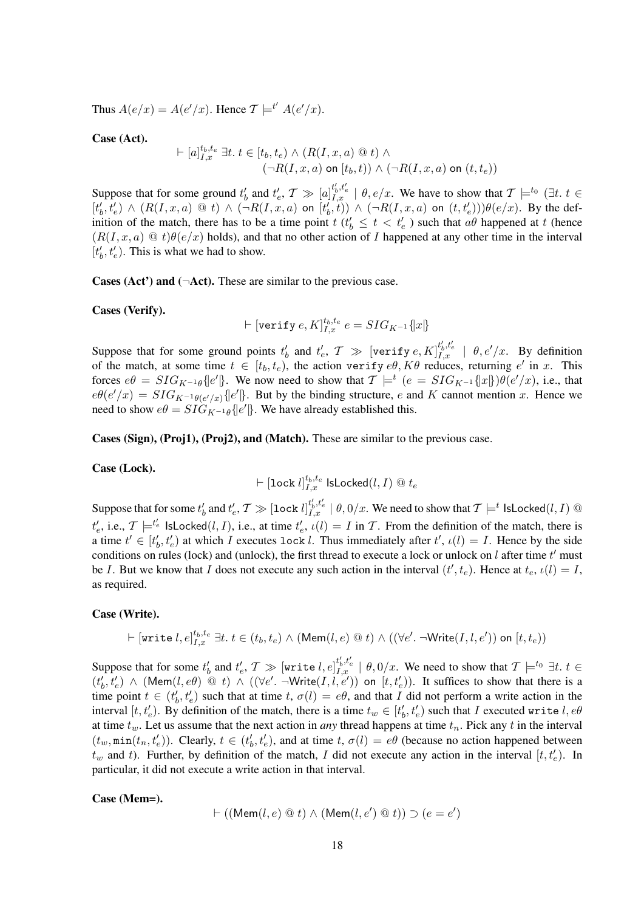Thus  $A(e/x) = A(e'/x)$ . Hence  $\mathcal{T} \models^{t'} A(e'/x)$ .

Case (Act).

$$
\vdash [a]_{I,x}^{t_b,t_e} \exists t. t \in [t_b, t_e) \land (R(I, x, a) \circledcirc t) \land (\neg R(I, x, a) \text{ on } [t_b, t)) \land (\neg R(I, x, a) \text{ on } (t, t_e))
$$

Suppose that for some ground  $t'_b$  and  $t'_e$ ,  $\mathcal{T} \gg [a]_{I,x}^{t'_b,t'_e} \mid \theta, e/x$ . We have to show that  $\mathcal{T} \models^{t_0} (\exists t, t \in$  $[t'_b, t'_e] \wedge (R(I, x, a) \otimes t) \wedge (\neg R(I, x, a) \text{ on } [t'_b, t]) \wedge (\neg R(I, x, a) \text{ on } (t, t'_e))) \theta(e/x)$ . By the definition of the match, there has to be a time point  $t$  ( $t'_{b} \leq t < t'_{e}$ ) such that  $a\theta$  happened at t (hence  $(R(I, x, a) \t\t@ t)\theta(e/x)$  holds), and that no other action of I happened at any other time in the interval  $[t'_b, t'_e)$ . This is what we had to show.

Cases (Act') and ( $\neg$ Act). These are similar to the previous case.

Cases (Verify).

$$
\vdash [\texttt{verify}~e, K]_{I, x}^{t_b, t_e}~e = SIG_{K^{-1}}\{x\}
$$

Suppose that for some ground points  $t'_b$  and  $t'_e$ ,  $\mathcal{T} \gg [\text{verify } e, K]_{I,x}^{t'_b, t'_e} \mid \theta, e'/x$ . By definition of the match, at some time  $t \in [t_b, t_e)$ , the action verify  $e\theta$ ,  $K\theta$  reduces, returning  $e'$  in x. This forces  $e\theta = SIG_{K^{-1}\theta}$ { $e'$ }. We now need to show that  $\mathcal{T} \models^t (e = SIG_{K^{-1}}\{x\})\theta(e'/x)$ , i.e., that  $e\theta(e'/x) = SIG_{K^{-1}\theta(e'/x)}\{e'\}.$  But by the binding structure, e and K cannot mention x. Hence we need to show  $e\theta = SI\ddot{G}_{K^{-1}\theta} \{e'\}$ . We have already established this.

Cases (Sign), (Proj1), (Proj2), and (Match). These are similar to the previous case.

### Case (Lock).

$$
\vdash [\texttt{lock}\; l]_{I,x}^{t_b,t_e}\; \textsf{lsLocked}(l,I)\; @\;t_e
$$

Suppose that for some  $t'_b$  and  $t'_e$ ,  $\mathcal T\gg [\texttt{lock}]_{I,x}^{t'_b,t'_e}\mid \theta, 0/x.$  We need to show that  $\mathcal T\models^t$  <code>lsLocked(l, I)</code>  $@$  $t'_e$ , i.e.,  $\mathcal{T} \models^{t'_e} \textsf{IsLocked}(l, I)$ , i.e., at time  $t'_e$ ,  $\iota(l) = I$  in  $\mathcal{T}$ . From the definition of the match, there is a time  $t' \in [t'_b, t'_e)$  at which I executes lock l. Thus immediately after  $t', \iota(l) = I$ . Hence by the side conditions on rules (lock) and (unlock), the first thread to execute a lock or unlock on  $l$  after time  $t'$  must be I. But we know that I does not execute any such action in the interval  $(t', t_e)$ . Hence at  $t_e$ ,  $\iota(l) = I$ , as required.

#### Case (Write).

$$
\vdash [\texttt{write}\ l, e]^{t_b, t_e}_{I, x} \ \exists t.\ t \in (t_b, t_e) \ \land \ (\texttt{Mem}(l, e) \ @\ t) \ \land \ ((\forall e'. \ \neg \texttt{Write}(I, l, e')) \ \texttt{on}\ [t, t_e))
$$

Suppose that for some  $t'_b$  and  $t'_e$ ,  $\mathcal{T} \gg [\texttt{write}~l, e]_{I,x}^{t'_b,t'_e} \mid \theta, 0/x.$  We need to show that  $\mathcal{T} \models^{t_0} \exists t.$   $t \in$  $(t'_b, t'_e) \wedge (\text{Mem}(l, e\theta) \ @\ t) \wedge ((\forall e'. \neg \text{Write}(I, l, e')) \text{ on } [t, t'_e))$ . It suffices to show that there is a time point  $t \in (t'_b, t'_e)$  such that at time  $t, \sigma(l) = e\theta$ , and that I did not perform a write action in the interval  $[t, t'_e)$ . By definition of the match, there is a time  $t_w \in [t'_b, t'_e)$  such that I executed write  $l, e\theta$ at time  $t_w$ . Let us assume that the next action in *any* thread happens at time  $t_n$ . Pick any t in the interval  $(t_w, \min(t_n, t'_e))$ . Clearly,  $t \in (t'_b, t'_e)$ , and at time  $t, \sigma(l) = e\theta$  (because no action happened between  $t_w$  and t). Further, by definition of the match, I did not execute any action in the interval  $[t, t'_e)$ . In particular, it did not execute a write action in that interval.

Case (Mem=).

$$
\vdash ((\mathsf{Mem}(l, e) \ @ \ t) \land (\mathsf{Mem}(l, e') \ @ \ t)) \supset (e = e')
$$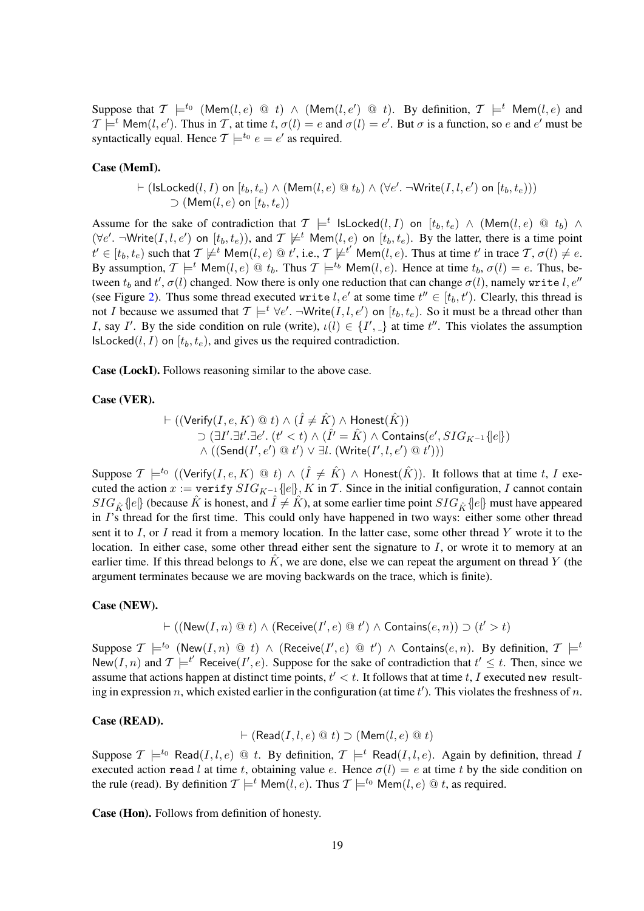Suppose that  $\mathcal{T} \models^{t_0} (\mathsf{Mem}(l, e) \ @t) \wedge (\mathsf{Mem}(l, e') \ @t).$  By definition,  $\mathcal{T} \models^t \mathsf{Mem}(l, e)$  and  $\mathcal{T} \models^t \text{Mem}(l, e')$ . Thus in  $\mathcal{T}$ , at time  $t, \sigma(l) = e$  and  $\sigma(l) = e'$ . But  $\sigma$  is a function, so  $e$  and  $e'$  must be syntactically equal. Hence  $\mathcal{T} \models^{t_0} e = e'$  as required.

#### Case (MemI).

$$
\vdash ( \mathsf{IsLocked}(l,I) \mathbin{\text{on}} [t_b, t_e) \land (\mathsf{Mem}(l,e) \mathrel{@} t_b ) \land (\forall e'. \neg \mathsf{Write}(I,l,e') \mathbin{\text{on}} [t_b, t_e))) \\ \supset (\mathsf{Mem}(l,e) \mathbin{\text{on}} [t_b, t_e))
$$

Assume for the sake of contradiction that  $\mathcal{T} \models^t \mathsf{IsLocked}(l,I)$  on  $[t_b, t_e) \land (\mathsf{Mem}(l, e) \ @ \ t_b) \land$  $(\forall e'. \neg Write(I, l, e')$  on  $[t_b, t_e)$ , and  $\mathcal{T} \not\models^t \text{Mem}(l, e)$  on  $[t_b, t_e)$ . By the latter, there is a time point  $t' \in [t_b, t_e)$  such that  $\mathcal{T} \not\models t'$  Mem $(l, e) \otimes t'$ , i.e.,  $\mathcal{T} \not\models t'$  Mem $(l, e)$ . Thus at time  $t'$  in trace  $\mathcal{T}, \sigma(l) \neq e$ . By assumption,  $T \models^t \text{Mem}(l, e) \text{ @ } t_b$ . Thus  $T \models^{t_b} \text{Mem}(l, e)$ . Hence at time  $t_b$ ,  $\sigma(l) = e$ . Thus, between  $t_b$  and  $t',\sigma(l)$  changed. Now there is only one reduction that can change  $\sigma(l)$ , namely write  $l,e''$ (see Figure [2\)](#page-5-0). Thus some thread executed write  $l, e'$  at some time  $t'' \in [t_b, t']$ . Clearly, this thread is not I because we assumed that  $\mathcal{T} \models^t \forall e'. \neg Write(I, l, e')$  on  $[t_b, t_e)$ . So it must be a thread other than I, say I'. By the side condition on rule (write),  $\iota(l) \in \{I', \_\}$  at time  $t''$ . This violates the assumption IsLocked $(l, I)$  on  $[t_b, t_e)$ , and gives us the required contradiction.

Case (LockI). Follows reasoning similar to the above case.

### Case (VER).

$$
\vdash ((\mathsf{Verify}(I, e, K) \mathrel{@} t) \land (\hat{I} \neq \hat{K}) \land \mathsf{Honest}(\hat{K}))
$$
  
\n
$$
\supset (\exists I'.\exists t'.\exists e'.\ (t' < t) \land (\hat{I'} = \hat{K}) \land \mathsf{contains}(e', SIG_{K^{-1}}\{e\})
$$
  
\n
$$
\land ((\mathsf{Send}(I', e') \mathrel{@} t') \lor \exists l. \ (Write(I', l, e') \mathrel{@} t')))
$$

Suppose  $\mathcal{T} \models^{t_0} ((\mathsf{Verify}(I, e, K) \ @\ t) \wedge (\hat{I} \neq \hat{K}) \wedge \mathsf{Honest}(\hat{K}))$ . It follows that at time t, I executed the action  $x := \text{verify } SIG_{K^{-1}}\{e\}, K \text{ in } T$ . Since in the initial configuration, I cannot contain  $SIG_{\hat{K}}\{e\}$  (because  $\hat{K}$  is honest, and  $\hat{I} \neq \hat{K}$ ), at some earlier time point  $SIG_{\hat{K}}\{e\}$  must have appeared in I's thread for the first time. This could only have happened in two ways: either some other thread sent it to I, or I read it from a memory location. In the latter case, some other thread Y wrote it to the location. In either case, some other thread either sent the signature to I, or wrote it to memory at an earlier time. If this thread belongs to  $\hat{K}$ , we are done, else we can repeat the argument on thread Y (the argument terminates because we are moving backwards on the trace, which is finite).

### Case (NEW).

 $\vdash ((\mathsf{New}(I, n) \ @~t) \wedge (\mathsf{Receive}(I', e) \ @~t') \wedge \mathsf{contains}(e, n)) \supset (t' > t)$ 

Suppose  $\mathcal{T} \models^{t_0} (\mathsf{New}(I,n) \ @\ t) \ \wedge \ (\mathsf{Receive}(I',e) \ @\ t') \ \wedge \ \mathsf{contains}(e,n).$  By definition,  $\mathcal{T} \models^t$ New(I, n) and  $\mathcal{T} \models^{t'} \text{Receive}(I', e)$ . Suppose for the sake of contradiction that  $t' \leq t$ . Then, since we assume that actions happen at distinct time points,  $t' < t$ . It follows that at time t, I executed new resulting in expression n, which existed earlier in the configuration (at time  $t'$ ). This violates the freshness of n.

### Case (READ).

 $\vdash$  (Read(I, l, e)  $\circledcirc$  t)  $\supset$  (Mem(l, e)  $\circledcirc$  t)

Suppose  $\mathcal{T} \models^{t_0} \text{Read}(I, l, e) \text{ @ } t$ . By definition,  $\mathcal{T} \models^{t} \text{Read}(I, l, e)$ . Again by definition, thread I executed action read l at time t, obtaining value e. Hence  $\sigma(l) = e$  at time t by the side condition on the rule (read). By definition  $\mathcal{T} \models^t \text{Mem}(l, e)$ . Thus  $\mathcal{T} \models^{t_0} \text{Mem}(l, e) \text{ @ } t$ , as required.

Case (Hon). Follows from definition of honesty.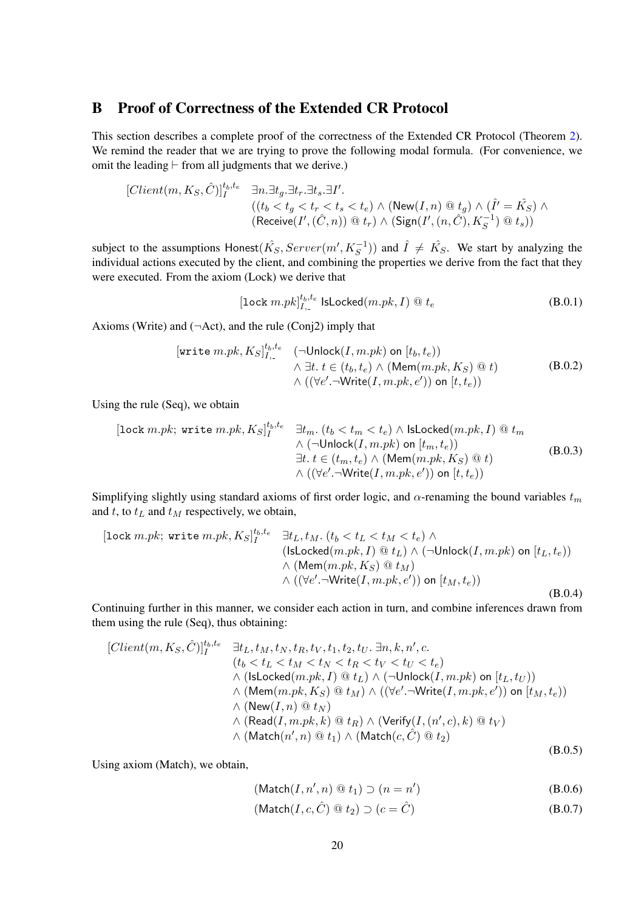# <span id="page-19-0"></span>B Proof of Correctness of the Extended CR Protocol

This section describes a complete proof of the correctness of the Extended CR Protocol (Theorem [2\)](#page-12-3). We remind the reader that we are trying to prove the following modal formula. (For convenience, we omit the leading  $\vdash$  from all judgments that we derive.)

$$
[Client(m, K_S, \hat{C})]_I^{t_b, t_e} \quad \exists n. \exists t_g. \exists t_r. \exists t_s. \exists I'.
$$
  

$$
((t_b < t_g < t_r < t_s < t_e) \land (\text{New}(I, n) \text{ @ } t_g) \land (\hat{I'} = \hat{K_S}) \land (\text{Receive}(I', (\hat{C}, n)) \text{ @ } t_r) \land (\text{Sign}(I', (n, \hat{C}), K_S^{-1}) \text{ @ } t_s))
$$

subject to the assumptions Honest $(\hat{K}_S,Server(m', K_S^{-1}))$  and  $\hat{I} \neq \hat{K}_S$ . We start by analyzing the individual actions executed by the client, and combining the properties we derive from the fact that they were executed. From the axiom (Lock) we derive that

$$
[\text{lock }m.pk]_{I,-}^{t_b,t_e} \text{ } \text{lsLocked}(m.pk, I) \text{ } @\text{ }t_e \tag{B.0.1}
$$

Axioms (Write) and  $(\neg Act)$ , and the rule (Conj2) imply that

$$
[\text{write } m.pk, K_S]_{I,}^{t_b, t_e} \quad (\neg \text{Unlock}(I, m.pk) \text{ on } [t_b, t_e))
$$
\n
$$
\land \exists t. \ t \in (t_b, t_e) \land (\text{Mem}(m.pk, K_S) \text{ @ } t)
$$
\n
$$
\land ((\forall e'.\neg \text{Write}(I, m.pk, e')) \text{ on } [t, t_e))
$$
\n(B.0.2)

Using the rule (Seq), we obtain

[lock *m.pk*; write 
$$
m.pk
$$
,  $K_S$ ]<sup>t<sub>b</sub>,t<sub>e</sub></sup>  $\exists t_m$ .  $(t_b < t_m < t_e) \land \text{lsLocked}(m.pk, I) \text{ @ } t_m$   
 $\land (\neg \text{Unlock}(I, m.pk) \text{ on } [t_m, t_e))$   
 $\exists t. t \in (t_m, t_e) \land (\text{Mem}(m.pk, K_S) \text{ @ } t)$   
 $\land ((\forall e'.\neg \text{Write}(I, m.pk, e')) \text{ on } [t, t_e))$  (B.0.3)

Simplifying slightly using standard axioms of first order logic, and  $\alpha$ -renaming the bound variables  $t_m$ and t, to  $t_L$  and  $t_M$  respectively, we obtain,

[lock *m.pk*; write 
$$
m.pk
$$
,  $K_S$ ]<sup>t<sub>b</sub>,t<sub>e</sub></sup>  $\exists t_L, t_M$ .  $(t_b < t_L < t_M < t_e) \land$   
\n(Islocked(*m.pk*, *I*) @  $t_L$ )  $\land$  ( $\neg$ Unlock(*I*, *m.pk*) on [ $t_L, t_e$ ))  
\n $\land$  (Mem(*m.pk*,  $K_S$ ) @  $t_M$ )  
\n $\land$  (( $\forall e'$ .  $\neg$ Write(*I*, *m.pk*,  $e'$ )) on [ $t_M, t_e$ )) (B.0.4)

Continuing further in this manner, we consider each action in turn, and combine inferences drawn from them using the rule (Seq), thus obtaining:

<span id="page-19-1"></span>
$$
[Client(m, K_S, \hat{C})]_I^{t_b, t_e} \quad \exists t_L, t_M, t_N, t_R, t_V, t_1, t_2, t_U. \exists n, k, n', c.
$$
\n
$$
(t_b < t_L < t_M < t_N < t_R < t_V < t_U < t_e)
$$
\n
$$
\land (\text{lslocked}(m.pk, I) \text{ @ } t_L) \land (\neg \text{Unlock}(I, m.pk) \text{ on } [t_L, t_U))
$$
\n
$$
\land (\text{Mem}(m.pk, K_S) \text{ @ } t_M) \land ((\forall e'.\neg \text{Write}(I, m.pk, e')) \text{ on } [t_M, t_e))
$$
\n
$$
\land (\text{New}(I, n) \text{ @ } t_N)
$$
\n
$$
\land (\text{Read}(I, m.pk, k) \text{ @ } t_R) \land (\text{Verify}(I, (n', c), k) \text{ @ } t_V)
$$
\n
$$
\land (\text{Match}(n', n) \text{ @ } t_1) \land (\text{Match}(c, \hat{C}) \text{ @ } t_2)
$$
\n(B.0.5)

Using axiom (Match), we obtain,

$$
(\text{Match}(I, n', n) @ t_1) \supset (n = n') \tag{B.0.6}
$$

$$
(\text{Match}(I, c, \hat{C}) \otimes t_2) \supset (c = \hat{C})
$$
\n(B.0.7)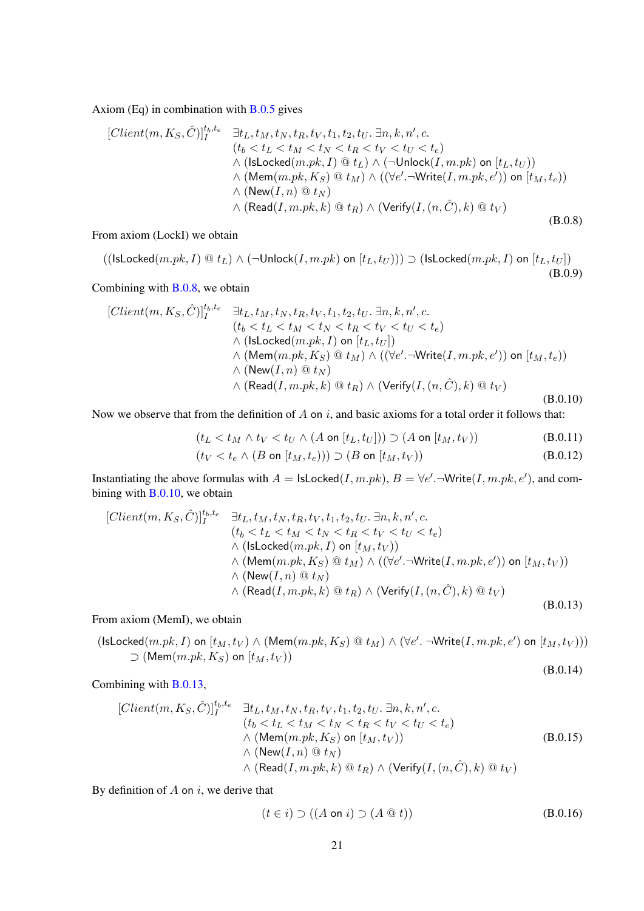Axiom (Eq) in combination with  $B.0.5$  gives

<span id="page-20-0"></span>
$$
[Client(m, K_S, \hat{C})]_I^{t_b, t_e} \quad \exists t_L, t_M, t_N, t_R, t_V, t_1, t_2, t_U, \exists n, k, n', c.
$$
  
\n
$$
(t_b < t_L < t_M < t_N < t_R < t_V < t_U < t_e)
$$
  
\n
$$
\land (\text{lslocked}(m.pk, I) \text{ @ } t_L) \land (\neg \text{Unlock}(I, m.pk) \text{ on } [t_L, t_U))
$$
  
\n
$$
\land (\text{Mem}(m.pk, K_S) \text{ @ } t_M) \land ((\forall e'.\neg \text{Write}(I, m.pk, e')) \text{ on } [t_M, t_e))
$$
  
\n
$$
\land (\text{New}(I, n) \text{ @ } t_N)
$$
  
\n
$$
\land (\text{Read}(I, m.pk, k) \text{ @ } t_R) \land (\text{Verify}(I, (n, \hat{C}), k) \text{ @ } t_V)
$$
  
\n(B.0.8)

From axiom (LockI) we obtain

 $((\textsf{IsLocked}(m.pk, I) \ @ t_L) \wedge (\neg \textsf{Unlock}(I, m.pk) \text{ on } [t_L, t_U])) \supset (\textsf{IsLocked}(m.pk, I) \text{ on } [t_L, t_U])$ (B.0.9)

Combining with [B.0.8,](#page-20-0) we obtain

<span id="page-20-1"></span>
$$
[Client(m, K_S, \hat{C})]_I^{t_b, t_e} \quad \exists t_L, t_M, t_N, t_R, t_V, t_1, t_2, t_U. \exists n, k, n', c.
$$
  
\n
$$
(t_b < t_L < t_M < t_N < t_R < t_V < t_U < t_e)
$$
  
\n
$$
\wedge (\text{lslocked}(m, pk, I) \text{ on } [t_L, t_U])
$$
  
\n
$$
\wedge (\text{Mem}(m, pk, K_S) \text{ @ } t_M) \wedge ((\forall e'.\neg \text{Write}(I, m, pk, e')) \text{ on } [t_M, t_e))
$$
  
\n
$$
\wedge (\text{New}(I, n) \text{ @ } t_N)
$$
  
\n
$$
\wedge (\text{Read}(I, m, pk, k) \text{ @ } t_R) \wedge (\text{Verify}(I, (n, \hat{C}), k) \text{ @ } t_V)
$$
  
\n
$$
(B.0.10)
$$

Now we observe that from the definition of  $A$  on  $i$ , and basic axioms for a total order it follows that:

$$
(t_L < t_M \wedge t_V < t_U \wedge (A \text{ on } [t_L, t_U])) \supset (A \text{ on } [t_M, t_V))
$$
 (B.0.11)

$$
(t_V < t_e \wedge (B \text{ on } [t_M, t_e))) \supset (B \text{ on } [t_M, t_V))
$$
\n(B.0.12)

Instantiating the above formulas with  $A = \textsf{lsLocked}(I, m.pk), B = \forall e'.\neg \textsf{Write}(I, m.pk, e'),$  and combining with [B.0.10,](#page-20-1) we obtain

<span id="page-20-2"></span>
$$
[Client(m, K_S, \hat{C})]_I^{t_b, t_e} \quad \exists t_L, t_M, t_N, t_R, t_V, t_1, t_2, t_U, \exists n, k, n', c.
$$
  
\n
$$
(t_b < t_L < t_M < t_N < t_R < t_V < t_U < t_e)
$$
  
\n
$$
\wedge (\text{lslocked}(m.pk, I) \text{ on } [t_M, t_V))
$$
  
\n
$$
\wedge (\text{Mem}(m.pk, K_S) \text{ @ } t_M) \wedge ((\forall e'.\neg \text{Write}(I, m.pk, e')) \text{ on } [t_M, t_V))
$$
  
\n
$$
\wedge (\text{New}(I, n) \text{ @ } t_N)
$$
  
\n
$$
\wedge (\text{Read}(I, m.pk, k) \text{ @ } t_R) \wedge (\text{Verify}(I, (n, \hat{C}), k) \text{ @ } t_V)
$$
  
\n(B.0.13)

From axiom (MemI), we obtain

 $(\textsf{IsLocked}(m.pk, I) \text{ on } [t_M, t_V) \land (\textsf{Mem}(m.pk, K_S) \text{ @ } t_M) \land (\forall e'. \neg \textsf{Write}(I, m.pk, e') \text{ on } [t_M, t_V)))$  $\supset$  (Mem $(m.pk, K_S)$  on  $[t_M, t_V)$ )

$$
(B.0.14)
$$

Combining with [B.0.13,](#page-20-2)

<span id="page-20-3"></span>
$$
[Client(m, K_S, \hat{C})]_I^{t_b, t_e} \quad \exists t_L, t_M, t_N, t_R, t_V, t_1, t_2, t_U. \exists n, k, n', c. \n(t_b < t_L < t_M < t_N < t_R < t_V < t_U < t_e) \n\wedge (\text{Mem}(m, pk, K_S) \text{ on } [t_M, t_V)) \n\wedge (\text{New}(I, n) @ t_N) \n\wedge (\text{Read}(I, m, pk, k) @ t_R) \wedge (\text{Verify}(I, (n, \hat{C}), k) @ t_V)
$$
\n
$$
(B.0.15)
$$

By definition of  $A$  on  $i$ , we derive that

<span id="page-20-4"></span>
$$
(t \in i) \supset ((A \text{ on } i) \supset (A \t Q t))
$$
 (B.0.16)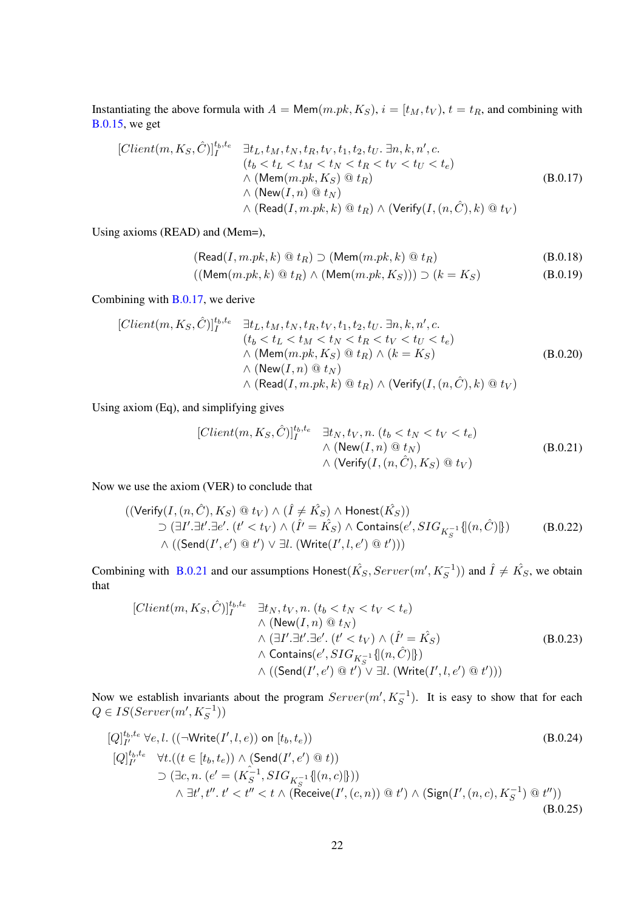Instantiating the above formula with  $A = \text{Mem}(m.pk, K_S)$ ,  $i = [t_M, t_V)$ ,  $t = t_R$ , and combining with [B.0.15,](#page-20-3) we get

<span id="page-21-0"></span>
$$
[Client(m, K_S, \hat{C})]_I^{t_b, t_e} \quad \exists t_L, t_M, t_N, t_R, t_V, t_1, t_2, t_U. \exists n, k, n', c.
$$
\n
$$
(t_b < t_L < t_M < t_N < t_R < t_V < t_U < t_e)
$$
\n
$$
\wedge \left(\text{Mem}(m.pk, K_S) \, \textcircled{e} \, t_R\right) \qquad \wedge \left(\text{New}(I, n) \, \textcircled{e} \, t_N\right) \qquad \wedge \left(\text{Verify}(I, (n, \hat{C}), k) \, \textcircled{e} \, t_V\right)
$$
\n
$$
\wedge \left(\text{Read}(I, m.pk, k) \, \textcircled{e} \, t_R\right) \wedge \left(\text{Verify}(I, (n, \hat{C}), k) \, \textcircled{e} \, t_V\right)
$$

Using axioms (READ) and (Mem=),

$$
(\text{Read}(I, m.pk, k) @ t_R) \supset (\text{Mem}(m.pk, k) @ t_R)
$$
\n(B.0.18)

$$
((\mathsf{Mem}(m.pk, k) \mathbin{@} t_R) \land (\mathsf{Mem}(m.pk, K_S))) \supset (k = K_S) \tag{B.0.19}
$$

Combining with [B.0.17,](#page-21-0) we derive

$$
[Client(m, K_S, \hat{C})]_I^{t_b, t_e} \quad \exists t_L, t_M, t_N, t_R, t_V, t_1, t_2, t_U. \exists n, k, n', c.
$$
  
\n
$$
(t_b < t_L < t_M < t_N < t_R < t_V < t_U < t_e)
$$
  
\n
$$
\wedge (\text{Mem}(m.pk, K_S) \text{ @ } t_R) \wedge (k = K_S)
$$
  
\n
$$
\wedge (\text{New}(I, n) \text{ @ } t_N)
$$
  
\n
$$
\wedge (\text{Read}(I, m.pk, k) \text{ @ } t_R) \wedge (\text{Verify}(I, (n, \hat{C}), k) \text{ @ } t_V)
$$
  
\n(B.0.20)

Using axiom (Eq), and simplifying gives

<span id="page-21-1"></span>
$$
[Client(m, K_S, \hat{C})]_I^{t_b, t_e} \quad \exists t_N, t_V, n. \ (t_b < t_N < t_V < t_e)
$$
  
 
$$
\wedge \ (\text{New}(I, n) \ @ \ t_N)
$$
  
 
$$
\wedge \ (\text{Verify}(I, (n, \hat{C}), K_S) \ @ \ t_V)
$$
  
(B.0.21)

Now we use the axiom (VER) to conclude that

$$
((\text{Verify}(I, (n, \hat{C}), K_S) \circledast t_V) \wedge (\hat{I} \neq \hat{K_S}) \wedge \text{Honest}(\hat{K_S}))
$$
  
\n
$$
\supset (\exists I'.\exists t'.\exists e'. (t' < t_V) \wedge (\hat{I'} = \hat{K_S}) \wedge \text{contains}(e', SIG_{K_S^{-1}}\{[(n, \hat{C})]\})
$$
  
\n
$$
\wedge ((\text{Send}(I', e') \circledast t') \vee \exists l. (\text{Write}(I', l, e') \circledast t')))
$$
\n(B.0.22)

Combining with [B.0.21](#page-21-1) and our assumptions Honest $(\hat{K_S},Server(m', K_S^{-1}))$  and  $\hat{I} \neq \hat{K_S}$ , we obtain that

<span id="page-21-2"></span>
$$
[Client(m, K_S, \hat{C})]_I^{t_b, t_e} \quad \exists t_N, t_V, n. \ (t_b < t_N < t_V < t_e) \\
\wedge (\text{New}(I, n) \, @\ t_N) \\
\wedge (\exists I'. \exists t'. \exists e'. \ (t' < t_V) \wedge (\hat{I'} = \hat{K_S}) \\
\wedge \text{ contains}(e', SIG_{K_S^{-1}}\{[(n, \hat{C})]\}) \\
\wedge ((\text{Send}(I', e') \, @\ t') \vee \exists l. \ (\text{Write}(I', l, e') \, @\ t'))\n\tag{B.0.23}
$$

Now we establish invariants about the program  $Server(m', K_S^{-1})$ . It is easy to show that for each  $Q \in IS(Server(m', K_S^{-1}))$ 

$$
[Q]_{I'}^{t_b, t_e} \forall e, l. ((\neg Write(I', l, e)) \text{ on } [t_b, t_e))
$$
\n
$$
[Q]_{I'}^{t_b, t_e} \forall t. ((t \in [t_b, t_e)) \land (\text{Send}(I', e') \text{ @ } t))
$$
\n
$$
\supset (\exists c, n. (e' = (K_{S}^{-1}, SIG_{K_{S}^{-1}}\{[(n, c)]\}))
$$
\n
$$
\land \exists t', t'', t' < t'' < t \land (\text{Receive}(I', (c, n)) \text{ @ } t') \land (\text{Sign}(I', (n, c), K_{S}^{-1}) \text{ @ } t''))
$$
\n(B.0.25)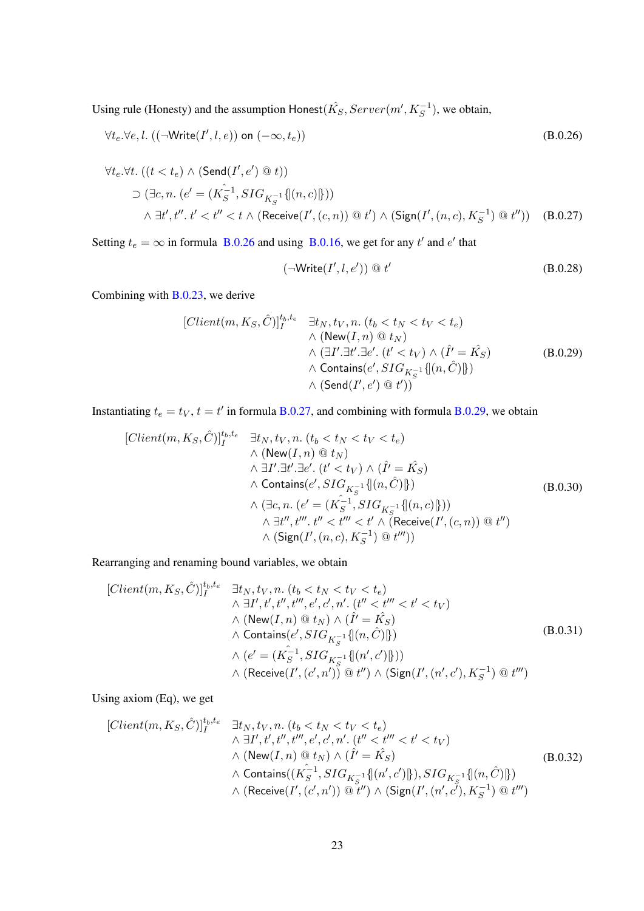Using rule (Honesty) and the assumption Honest $(\hat{K_S},Server(m',K_S^{-1}),$  we obtain,

$$
\forall t_e. \forall e, l. ((\neg Write(I', l, e)) \text{ on } (-\infty, t_e))
$$
\n
$$
\forall t_e. \forall t. ((t < t_e) \land (\text{Send}(I', e') \text{ @ } t))
$$
\n
$$
\supset (\exists c, n. (e' = (K_S^{-1}, SIG_{K_S^{-1}} \{[(n, c)]\}))
$$
\n
$$
\land \exists t', t'', t' < t'' < t \land (\text{Receive}(I', (c, n)) \text{ @ } t') \land (\text{Sign}(I', (n, c), K_S^{-1}) \text{ @ } t''))
$$
\n(B.0.27)

Setting  $t_e = \infty$  in formula [B.0.26](#page-22-0) and using [B.0.16,](#page-20-4) we get for any t' and e' that

<span id="page-22-1"></span><span id="page-22-0"></span>
$$
(\neg Write(I', l, e')) \ @ \ t'
$$
 (B.0.28)

Combining with [B.0.23,](#page-21-2) we derive

<span id="page-22-2"></span>
$$
[Client(m, K_S, \hat{C})]_I^{t_b, t_e} \quad \exists t_N, t_V, n. \ (t_b < t_N < t_V < t_e) \\
\wedge (\text{New}(I, n) \, \textcircled{t}_N) \\
\wedge (\exists I'. \exists t'. \exists e'. \ (t' < t_V) \wedge (\hat{I'} = \hat{K_S}) \\
\wedge \text{ contains}(e', SIG_{K_S^{-1}} \{[(n, \hat{C})]\}) \\
\wedge (\text{Send}(I', e') \, \textcircled{t'}))
$$
\n(B.0.29)

Instantiating  $t_e = t_V$ ,  $t = t'$  in formula [B.0.27,](#page-22-1) and combining with formula [B.0.29,](#page-22-2) we obtain

$$
[Client(m, K_S, \hat{C})]_I^{t_b, t_e} \quad \exists t_N, t_V, n. (t_b < t_N < t_V < t_e)
$$
  
\n
$$
\wedge (\text{New}(I, n) \otimes t_N)
$$
  
\n
$$
\wedge \exists I'.\exists t'.\exists e'. (t' < t_V) \wedge (\hat{I'} = \hat{K_S})
$$
  
\n
$$
\wedge \text{ contains}(e', SIG_{K_S^{-1}}\{|n, \hat{C})|\})
$$
  
\n
$$
\wedge (\exists c, n. (e' = (\hat{K_S^{-1}}, SIG_{K_S^{-1}}\{|n, c)|\}))
$$
  
\n
$$
\wedge \exists t'', t'''. t'' < t'' < t' \wedge (\text{Receive}(I', (c, n)) \otimes t'')
$$
  
\n
$$
\wedge (\text{Sign}(I', (n, c), K_S^{-1}) \otimes t''))
$$
  
\n
$$
(B.0.30)
$$

Rearranging and renaming bound variables, we obtain

$$
[Client(m, K_S, \hat{C})]_I^{t_b, t_e} \quad \exists t_N, t_V, n. \ (t_b < t_N < t_V < t_e) \\
\wedge \exists I', t', t'', t'', e', c', n'. \ (t'' < t''' < t' < t_V) \\
\wedge (\text{New}(I, n) \text{ @ } t_N) \wedge (\hat{I'} = \hat{K}_S) \\
\wedge \text{ contains}(e', SIG_{K_S^{-1}}\{[(n, \hat{C})]\}) \\
\wedge (e' = (K_S^{-1}, SIG_{K_S^{-1}}\{[(n', c')]\})) \\
\wedge (\text{Receive}(I', (c', n')) \text{ @ } t'') \wedge (\text{Sign}(I', (n', c'), K_S^{-1}) \text{ @ } t''')
$$
\n
$$
(B.0.31)
$$

Using axiom (Eq), we get

$$
[Client(m, K_S, \hat{C})]_I^{t_b, t_e} \quad \exists t_N, t_V, n. \ (t_b < t_N < t_V < t_e) \\
\wedge \exists I', t', t'', t'', e', c', n'. \ (t'' < t''' < t' < t_V) \\
\wedge (\text{New}(I, n) \text{ @ } t_N) \wedge (\hat{I'} = \hat{K_S}) \\
\wedge \text{ contains}((\hat{K_S^{-1}}, SIG_{K_S^{-1}}\{[(n', c')]\}), SIG_{K_S^{-1}}\{[(n, \hat{C})]\}) \\
\wedge (\text{Receive}(I', (c', n')) \text{ @ } t'') \wedge (\text{Sign}(I', (n', c'), K_S^{-1}) \text{ @ } t''')
$$
\n
$$
(B.0.32)
$$